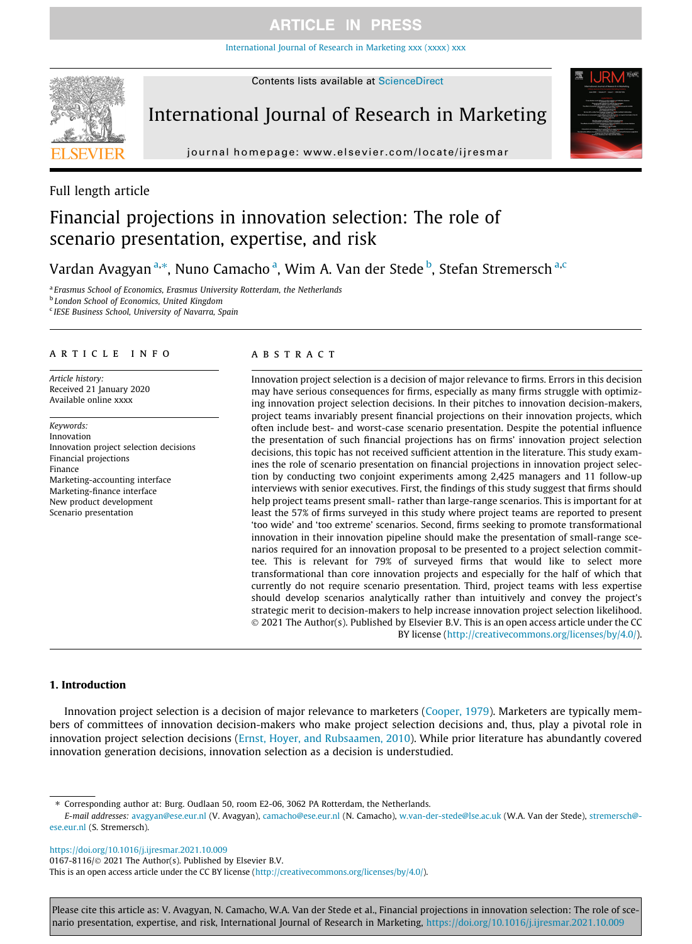[International Journal of Research in Marketing xxx \(xxxx\) xxx](https://doi.org/10.1016/j.ijresmar.2021.10.009)



# International Journal of Research in Marketing





# Financial projections in innovation selection: The role of scenario presentation, expertise, and risk

Vardan Avagyan <sup>a,\*</sup>, Nuno Camacho <sup>a</sup>, Wim A. Van der Stede <sup>b</sup>, Stefan Stremersch <sup>a,c</sup>

<sup>a</sup> Erasmus School of Economics, Erasmus University Rotterdam, the Netherlands <sup>b</sup> London School of Economics, United Kingdom

<sup>c</sup> IESE Business School, University of Navarra, Spain

### article info

Article history: Received 21 January 2020 Available online xxxx

Keywords: Innovation Innovation project selection decisions Financial projections Finance Marketing-accounting interface Marketing-finance interface New product development Scenario presentation

### ABSTRACT

Innovation project selection is a decision of major relevance to firms. Errors in this decision may have serious consequences for firms, especially as many firms struggle with optimizing innovation project selection decisions. In their pitches to innovation decision-makers, project teams invariably present financial projections on their innovation projects, which often include best- and worst-case scenario presentation. Despite the potential influence the presentation of such financial projections has on firms' innovation project selection decisions, this topic has not received sufficient attention in the literature. This study examines the role of scenario presentation on financial projections in innovation project selection by conducting two conjoint experiments among 2,425 managers and 11 follow-up interviews with senior executives. First, the findings of this study suggest that firms should help project teams present small- rather than large-range scenarios. This is important for at least the 57% of firms surveyed in this study where project teams are reported to present 'too wide' and 'too extreme' scenarios. Second, firms seeking to promote transformational innovation in their innovation pipeline should make the presentation of small-range scenarios required for an innovation proposal to be presented to a project selection committee. This is relevant for 79% of surveyed firms that would like to select more transformational than core innovation projects and especially for the half of which that currently do not require scenario presentation. Third, project teams with less expertise should develop scenarios analytically rather than intuitively and convey the project's strategic merit to decision-makers to help increase innovation project selection likelihood. 2021 The Author(s). Published by Elsevier B.V. This is an open access article under the CC BY license ([http://creativecommons.org/licenses/by/4.0/\)](http://creativecommons.org/licenses/by/4.0/).

### 1. Introduction

Innovation project selection is a decision of major relevance to marketers ([Cooper, 1979](#page-18-0)). Marketers are typically members of committees of innovation decision-makers who make project selection decisions and, thus, play a pivotal role in innovation project selection decisions ([Ernst, Hoyer, and Rubsaamen, 2010\)](#page-18-0). While prior literature has abundantly covered innovation generation decisions, innovation selection as a decision is understudied.

⇑ Corresponding author at: Burg. Oudlaan 50, room E2-06, 3062 PA Rotterdam, the Netherlands.

E-mail addresses: [avagyan@ese.eur.nl](mailto:avagyan@ese.eur.nl) (V. Avagyan), [camacho@ese.eur.nl](mailto:camacho@ese.eur.nl) (N. Camacho), [w.van-der-stede@lse.ac.uk](mailto:w.van-der-stede@lse.ac.uk) (W.A. Van der Stede), [stremersch@](mailto:stremersch@ese.eur.nl) [ese.eur.nl](mailto:stremersch@ese.eur.nl) (S. Stremersch).

<https://doi.org/10.1016/j.ijresmar.2021.10.009>

0167-8116/ $\odot$  2021 The Author(s). Published by Elsevier B.V.

This is an open access article under the CC BY license (<http://creativecommons.org/licenses/by/4.0/>).

Please cite this article as: V. Avagyan, N. Camacho, W.A. Van der Stede et al., Financial projections in innovation selection: The role of scenario presentation, expertise, and risk, International Journal of Research in Marketing, <https://doi.org/10.1016/j.ijresmar.2021.10.009>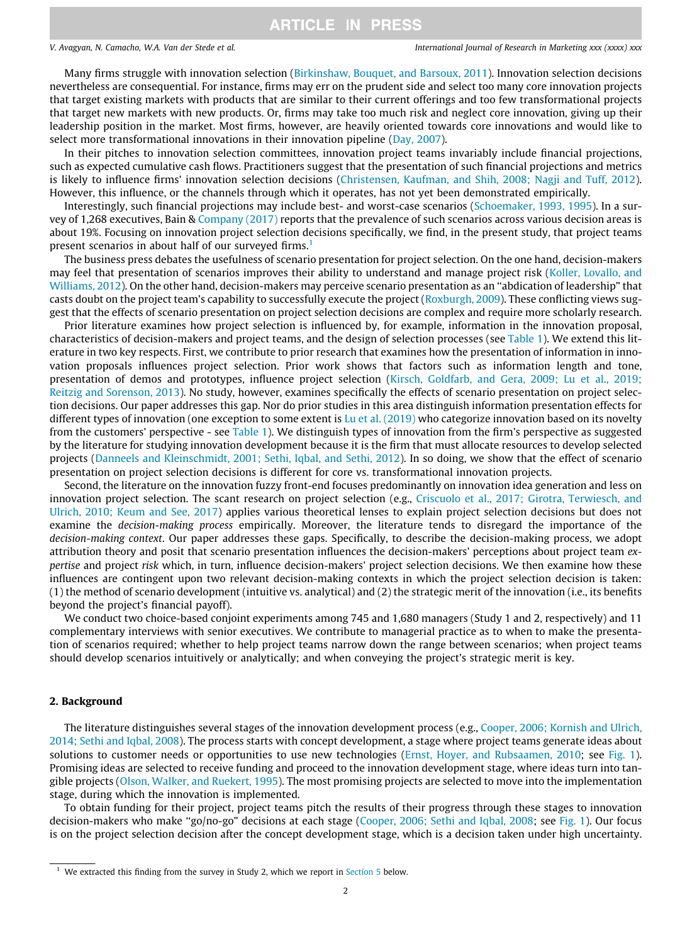Many firms struggle with innovation selection [\(Birkinshaw, Bouquet, and Barsoux, 2011\)](#page-17-0). Innovation selection decisions nevertheless are consequential. For instance, firms may err on the prudent side and select too many core innovation projects that target existing markets with products that are similar to their current offerings and too few transformational projects that target new markets with new products. Or, firms may take too much risk and neglect core innovation, giving up their leadership position in the market. Most firms, however, are heavily oriented towards core innovations and would like to select more transformational innovations in their innovation pipeline [\(Day, 2007](#page-18-0)).

In their pitches to innovation selection committees, innovation project teams invariably include financial projections, such as expected cumulative cash flows. Practitioners suggest that the presentation of such financial projections and metrics is likely to influence firms' innovation selection decisions [\(Christensen, Kaufman, and Shih, 2008; Nagji and Tuff, 2012](#page-18-0)). However, this influence, or the channels through which it operates, has not yet been demonstrated empirically.

Interestingly, such financial projections may include best- and worst-case scenarios [\(Schoemaker, 1993, 1995\)](#page-19-0). In a survey of 1,268 executives, Bain & [Company \(2017\)](#page-17-0) reports that the prevalence of such scenarios across various decision areas is about 19%. Focusing on innovation project selection decisions specifically, we find, in the present study, that project teams present scenarios in about half of our surveyed firms.<sup>1</sup>

The business press debates the usefulness of scenario presentation for project selection. On the one hand, decision-makers may feel that presentation of scenarios improves their ability to understand and manage project risk [\(Koller, Lovallo, and](#page-18-0) [Williams, 2012](#page-18-0)). On the other hand, decision-makers may perceive scenario presentation as an ''abdication of leadership" that casts doubt on the project team's capability to successfully execute the project ([Roxburgh, 2009\)](#page-19-0). These conflicting views suggest that the effects of scenario presentation on project selection decisions are complex and require more scholarly research.

Prior literature examines how project selection is influenced by, for example, information in the innovation proposal, characteristics of decision-makers and project teams, and the design of selection processes (see [Table 1](#page-2-0)). We extend this literature in two key respects. First, we contribute to prior research that examines how the presentation of information in innovation proposals influences project selection. Prior work shows that factors such as information length and tone, presentation of demos and prototypes, influence project selection [\(Kirsch, Goldfarb, and Gera, 2009; Lu et al., 2019;](#page-18-0) [Reitzig and Sorenson, 2013\)](#page-18-0). No study, however, examines specifically the effects of scenario presentation on project selection decisions. Our paper addresses this gap. Nor do prior studies in this area distinguish information presentation effects for different types of innovation (one exception to some extent is [Lu et al. \(2019\)](#page-18-0) who categorize innovation based on its novelty from the customers' perspective - see [Table 1\)](#page-2-0). We distinguish types of innovation from the firm's perspective as suggested by the literature for studying innovation development because it is the firm that must allocate resources to develop selected projects ([Danneels and Kleinschmidt, 2001; Sethi, Iqbal, and Sethi, 2012\)](#page-18-0). In so doing, we show that the effect of scenario presentation on project selection decisions is different for core vs. transformational innovation projects.

Second, the literature on the innovation fuzzy front-end focuses predominantly on innovation idea generation and less on innovation project selection. The scant research on project selection (e.g., [Criscuolo et al., 2017; Girotra, Terwiesch, and](#page-18-0) [Ulrich, 2010; Keum and See, 2017\)](#page-18-0) applies various theoretical lenses to explain project selection decisions but does not examine the decision-making process empirically. Moreover, the literature tends to disregard the importance of the decision-making context. Our paper addresses these gaps. Specifically, to describe the decision-making process, we adopt attribution theory and posit that scenario presentation influences the decision-makers' perceptions about project team expertise and project risk which, in turn, influence decision-makers' project selection decisions. We then examine how these influences are contingent upon two relevant decision-making contexts in which the project selection decision is taken: (1) the method of scenario development (intuitive vs. analytical) and (2) the strategic merit of the innovation (i.e., its benefits beyond the project's financial payoff).

We conduct two choice-based conjoint experiments among 745 and 1,680 managers (Study 1 and 2, respectively) and 11 complementary interviews with senior executives. We contribute to managerial practice as to when to make the presentation of scenarios required; whether to help project teams narrow down the range between scenarios; when project teams should develop scenarios intuitively or analytically; and when conveying the project's strategic merit is key.

### 2. Background

The literature distinguishes several stages of the innovation development process (e.g., [Cooper, 2006; Kornish and Ulrich,](#page-18-0) [2014; Sethi and Iqbal, 2008](#page-18-0)). The process starts with concept development, a stage where project teams generate ideas about solutions to customer needs or opportunities to use new technologies ([Ernst, Hoyer, and Rubsaamen, 2010](#page-18-0); see [Fig. 1](#page-4-0)). Promising ideas are selected to receive funding and proceed to the innovation development stage, where ideas turn into tangible projects [\(Olson, Walker, and Ruekert, 1995\)](#page-18-0). The most promising projects are selected to move into the implementation stage, during which the innovation is implemented.

To obtain funding for their project, project teams pitch the results of their progress through these stages to innovation decision-makers who make ''go/no-go" decisions at each stage [\(Cooper, 2006; Sethi and Iqbal, 2008;](#page-18-0) see [Fig. 1\)](#page-4-0). Our focus is on the project selection decision after the concept development stage, which is a decision taken under high uncertainty.

<sup>&</sup>lt;sup>1</sup> We extracted this finding from the survey in Study 2, which we report in [Section 5](#page-12-0) below.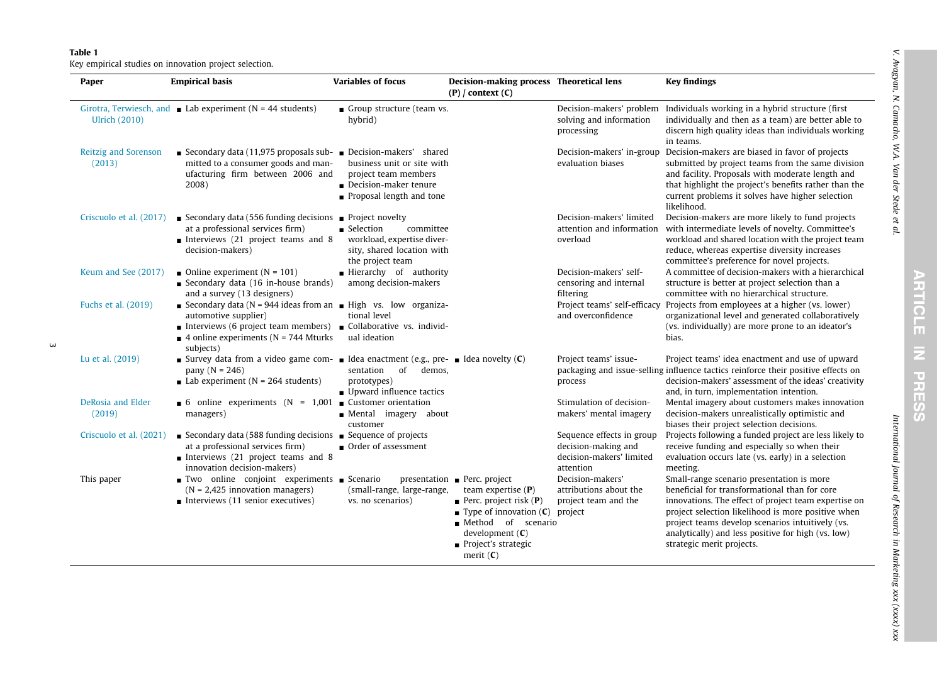#### <span id="page-2-0"></span>Table 1

Key empirical studies on innovation project selection.

| Paper                          | <b>Empirical basis</b>                                                                                                                                                                                                                       | <b>Variables of focus</b>                                                                                                             | Decision-making process Theoretical lens<br>$(P) /$ context $(C)$                                                                                                                                                                |                                                                                           | <b>Key findings</b>                                                                                                                                                                                                                                                                                                                             |
|--------------------------------|----------------------------------------------------------------------------------------------------------------------------------------------------------------------------------------------------------------------------------------------|---------------------------------------------------------------------------------------------------------------------------------------|----------------------------------------------------------------------------------------------------------------------------------------------------------------------------------------------------------------------------------|-------------------------------------------------------------------------------------------|-------------------------------------------------------------------------------------------------------------------------------------------------------------------------------------------------------------------------------------------------------------------------------------------------------------------------------------------------|
| <b>Ulrich (2010)</b>           | Girotra, Terwiesch, and Lab experiment ( $N = 44$ students)                                                                                                                                                                                  | Group structure (team vs.<br>hybrid)                                                                                                  |                                                                                                                                                                                                                                  | solving and information<br>processing                                                     | Decision-makers' problem Individuals working in a hybrid structure (first<br>individually and then as a team) are better able to<br>discern high quality ideas than individuals working<br>in teams.                                                                                                                                            |
| Reitzig and Sorenson<br>(2013) | Secondary data (11,975 proposals sub- $\Box$ Decision-makers' shared<br>mitted to a consumer goods and man-<br>ufacturing firm between 2006 and<br>2008)                                                                                     | business unit or site with<br>project team members<br>$\blacksquare$ Decision-maker tenure<br>$\blacksquare$ Proposal length and tone |                                                                                                                                                                                                                                  | evaluation biases                                                                         | Decision-makers' in-group Decision-makers are biased in favor of projects<br>submitted by project teams from the same division<br>and facility. Proposals with moderate length and<br>that highlight the project's benefits rather than the<br>current problems it solves have higher selection<br>likelihood.                                  |
|                                | Criscuolo et al. (2017) Secondary data (556 funding decisions <b>Project novelty</b><br>at a professional services firm)<br>Interviews $(21$ project teams and 8<br>decision-makers)                                                         | committee<br>■ Selection<br>workload, expertise diver-<br>sity, shared location with<br>the project team                              |                                                                                                                                                                                                                                  | Decision-makers' limited<br>overload                                                      | Decision-makers are more likely to fund projects<br>attention and information with intermediate levels of novelty. Committee's<br>workload and shared location with the project team<br>reduce, whereas expertise diversity increases<br>committee's preference for novel projects.                                                             |
| Keum and See (2017)            | Online experiment ( $N = 101$ )<br>Secondary data $(16$ in-house brands)<br>and a survey (13 designers)                                                                                                                                      | Hierarchy of authority<br>among decision-makers                                                                                       |                                                                                                                                                                                                                                  | Decision-makers' self-<br>censoring and internal<br>filtering                             | A committee of decision-makers with a hierarchical<br>structure is better at project selection than a<br>committee with no hierarchical structure.                                                                                                                                                                                              |
| Fuchs et al. (2019)            | Secondary data ( $N = 944$ ideas from an $\blacksquare$ High vs. low organiza-<br>automotive supplier)<br>Interviews (6 project team members) Collaborative vs. individ-<br>$\blacksquare$ 4 online experiments (N = 744 Mturks<br>subjects) | tional level<br>ual ideation                                                                                                          |                                                                                                                                                                                                                                  | and overconfidence                                                                        | Project teams' self-efficacy Projects from employees at a higher (vs. lower)<br>organizational level and generated collaboratively<br>(vs. individually) are more prone to an ideator's<br>bias.                                                                                                                                                |
| Lu et al. (2019)               | Survey data from a video game com- I ldea enactment (e.g., pre- I ldea novelty $(C)$<br>pany ( $N = 246$ )<br>Lab experiment ( $N = 264$ students)                                                                                           | sentation of demos,<br>prototypes)<br>■ Upward influence tactics                                                                      |                                                                                                                                                                                                                                  | Project teams' issue-<br>process                                                          | Project teams' idea enactment and use of upward<br>packaging and issue-selling influence tactics reinforce their positive effects on<br>decision-makers' assessment of the ideas' creativity<br>and, in turn, implementation intention.                                                                                                         |
| DeRosia and Elder<br>(2019)    | 6 online experiments ( $N = 1,001$ Customer orientation<br>managers)                                                                                                                                                                         | Mental imagery about<br>customer                                                                                                      |                                                                                                                                                                                                                                  | Stimulation of decision-<br>makers' mental imagery                                        | Mental imagery about customers makes innovation<br>decision-makers unrealistically optimistic and<br>biases their project selection decisions.                                                                                                                                                                                                  |
| Criscuolo et al. (2021)        | Secondary data (588 funding decisions $\blacksquare$ Sequence of projects<br>at a professional services firm)<br>Interviews $(21$ project teams and 8<br>innovation decision-makers)                                                         | $\Box$ Order of assessment                                                                                                            |                                                                                                                                                                                                                                  | Sequence effects in group<br>decision-making and<br>decision-makers' limited<br>attention | Projects following a funded project are less likely to<br>receive funding and especially so when their<br>evaluation occurs late (vs. early) in a selection<br>meeting.                                                                                                                                                                         |
| This paper                     | ■ Two online conjoint experiments ■ Scenario<br>$(N = 2,425$ innovation managers)<br>Interviews $(11$ senior executives)                                                                                                                     | (small-range, large-range,<br>vs. no scenarios)                                                                                       | $presentation$ Perc. project<br>team expertise $(P)$<br><b>Perc.</b> project risk $(P)$<br>$\blacksquare$ Type of innovation (C)<br>Method of scenario<br>development $(C)$<br>$\blacksquare$ Project's strategic<br>merit $(C)$ | Decision-makers'<br>attributions about the<br>project team and the<br>project             | Small-range scenario presentation is more<br>beneficial for transformational than for core<br>innovations. The effect of project team expertise on<br>project selection likelihood is more positive when<br>project teams develop scenarios intuitively (vs.<br>analytically) and less positive for high (vs. low)<br>strategic merit projects. |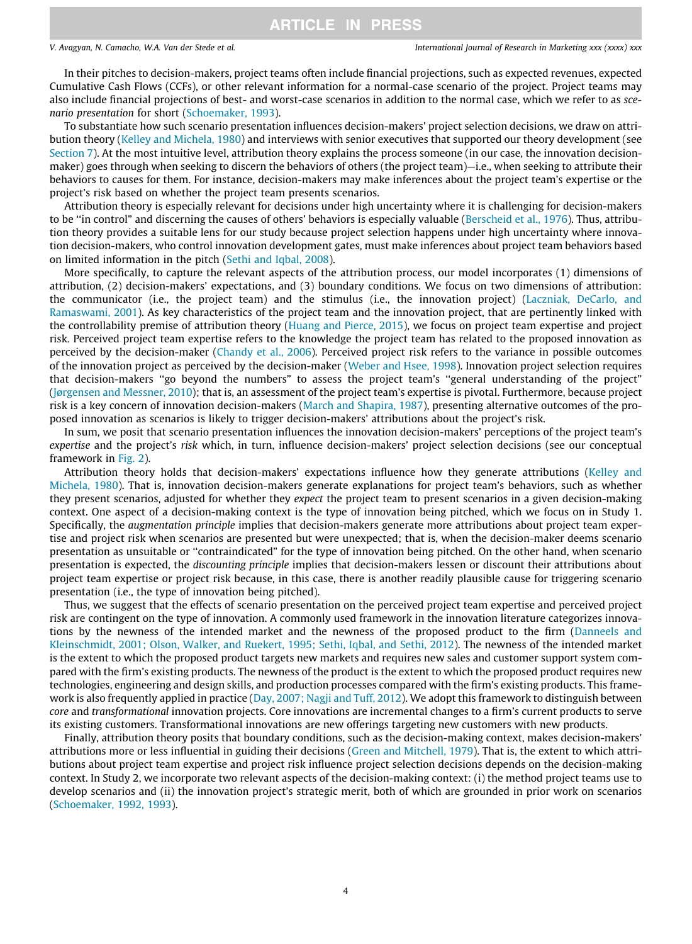In their pitches to decision-makers, project teams often include financial projections, such as expected revenues, expected Cumulative Cash Flows (CCFs), or other relevant information for a normal-case scenario of the project. Project teams may also include financial projections of best- and worst-case scenarios in addition to the normal case, which we refer to as scenario presentation for short ([Schoemaker, 1993](#page-19-0)).

To substantiate how such scenario presentation influences decision-makers' project selection decisions, we draw on attribution theory ([Kelley and Michela, 1980\)](#page-18-0) and interviews with senior executives that supported our theory development (see [Section 7](#page-15-0)). At the most intuitive level, attribution theory explains the process someone (in our case, the innovation decisionmaker) goes through when seeking to discern the behaviors of others (the project team)—i.e., when seeking to attribute their behaviors to causes for them. For instance, decision-makers may make inferences about the project team's expertise or the project's risk based on whether the project team presents scenarios.

Attribution theory is especially relevant for decisions under high uncertainty where it is challenging for decision-makers to be "in control" and discerning the causes of others' behaviors is especially valuable [\(Berscheid et al., 1976\)](#page-17-0). Thus, attribution theory provides a suitable lens for our study because project selection happens under high uncertainty where innovation decision-makers, who control innovation development gates, must make inferences about project team behaviors based on limited information in the pitch [\(Sethi and Iqbal, 2008\)](#page-19-0).

More specifically, to capture the relevant aspects of the attribution process, our model incorporates (1) dimensions of attribution, (2) decision-makers' expectations, and (3) boundary conditions. We focus on two dimensions of attribution: the communicator (i.e., the project team) and the stimulus (i.e., the innovation project) [\(Laczniak, DeCarlo, and](#page-18-0) [Ramaswami, 2001\)](#page-18-0). As key characteristics of the project team and the innovation project, that are pertinently linked with the controllability premise of attribution theory [\(Huang and Pierce, 2015\)](#page-18-0), we focus on project team expertise and project risk. Perceived project team expertise refers to the knowledge the project team has related to the proposed innovation as perceived by the decision-maker ([Chandy et al., 2006](#page-18-0)). Perceived project risk refers to the variance in possible outcomes of the innovation project as perceived by the decision-maker ([Weber and Hsee, 1998](#page-19-0)). Innovation project selection requires that decision-makers ''go beyond the numbers" to assess the project team's ''general understanding of the project" [\(Jørgensen and Messner, 2010](#page-18-0)); that is, an assessment of the project team's expertise is pivotal. Furthermore, because project risk is a key concern of innovation decision-makers ([March and Shapira, 1987](#page-18-0)), presenting alternative outcomes of the proposed innovation as scenarios is likely to trigger decision-makers' attributions about the project's risk.

In sum, we posit that scenario presentation influences the innovation decision-makers' perceptions of the project team's expertise and the project's risk which, in turn, influence decision-makers' project selection decisions (see our conceptual framework in [Fig. 2\)](#page-5-0).

Attribution theory holds that decision-makers' expectations influence how they generate attributions [\(Kelley and](#page-18-0) [Michela, 1980\)](#page-18-0). That is, innovation decision-makers generate explanations for project team's behaviors, such as whether they present scenarios, adjusted for whether they expect the project team to present scenarios in a given decision-making context. One aspect of a decision-making context is the type of innovation being pitched, which we focus on in Study 1. Specifically, the augmentation principle implies that decision-makers generate more attributions about project team expertise and project risk when scenarios are presented but were unexpected; that is, when the decision-maker deems scenario presentation as unsuitable or ''contraindicated" for the type of innovation being pitched. On the other hand, when scenario presentation is expected, the discounting principle implies that decision-makers lessen or discount their attributions about project team expertise or project risk because, in this case, there is another readily plausible cause for triggering scenario presentation (i.e., the type of innovation being pitched).

Thus, we suggest that the effects of scenario presentation on the perceived project team expertise and perceived project risk are contingent on the type of innovation. A commonly used framework in the innovation literature categorizes innovations by the newness of the intended market and the newness of the proposed product to the firm [\(Danneels and](#page-18-0) [Kleinschmidt, 2001; Olson, Walker, and Ruekert, 1995; Sethi, Iqbal, and Sethi, 2012](#page-18-0)). The newness of the intended market is the extent to which the proposed product targets new markets and requires new sales and customer support system compared with the firm's existing products. The newness of the product is the extent to which the proposed product requires new technologies, engineering and design skills, and production processes compared with the firm's existing products. This framework is also frequently applied in practice [\(Day, 2007; Nagji and Tuff, 2012](#page-18-0)). We adopt this framework to distinguish between core and transformational innovation projects. Core innovations are incremental changes to a firm's current products to serve its existing customers. Transformational innovations are new offerings targeting new customers with new products.

Finally, attribution theory posits that boundary conditions, such as the decision-making context, makes decision-makers' attributions more or less influential in guiding their decisions ([Green and Mitchell, 1979](#page-18-0)). That is, the extent to which attributions about project team expertise and project risk influence project selection decisions depends on the decision-making context. In Study 2, we incorporate two relevant aspects of the decision-making context: (i) the method project teams use to develop scenarios and (ii) the innovation project's strategic merit, both of which are grounded in prior work on scenarios [\(Schoemaker, 1992, 1993](#page-19-0)).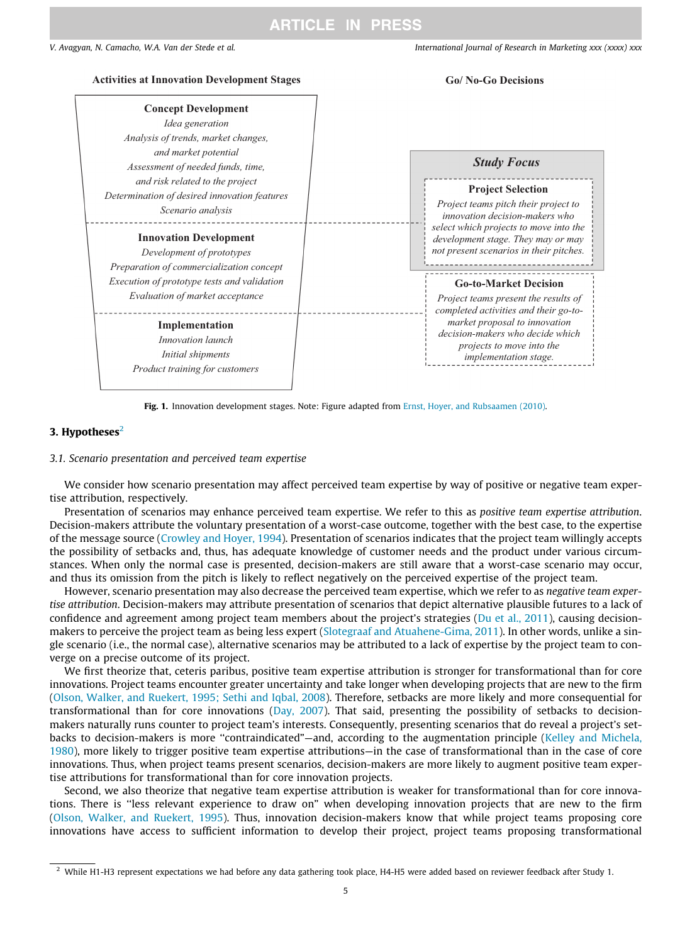<span id="page-4-0"></span>

Fig. 1. Innovation development stages. Note: Figure adapted from [Ernst, Hoyer, and Rubsaamen \(2010\)](#page-18-0).

### 3. Hypotheses $2$

#### 3.1. Scenario presentation and perceived team expertise

We consider how scenario presentation may affect perceived team expertise by way of positive or negative team expertise attribution, respectively.

Presentation of scenarios may enhance perceived team expertise. We refer to this as positive team expertise attribution. Decision-makers attribute the voluntary presentation of a worst-case outcome, together with the best case, to the expertise of the message source ([Crowley and Hoyer, 1994\)](#page-18-0). Presentation of scenarios indicates that the project team willingly accepts the possibility of setbacks and, thus, has adequate knowledge of customer needs and the product under various circumstances. When only the normal case is presented, decision-makers are still aware that a worst-case scenario may occur, and thus its omission from the pitch is likely to reflect negatively on the perceived expertise of the project team.

However, scenario presentation may also decrease the perceived team expertise, which we refer to as *negative team exper*tise attribution. Decision-makers may attribute presentation of scenarios that depict alternative plausible futures to a lack of confidence and agreement among project team members about the project's strategies [\(Du et al., 2011\)](#page-18-0), causing decisionmakers to perceive the project team as being less expert ([Slotegraaf and Atuahene-Gima, 2011\)](#page-19-0). In other words, unlike a single scenario (i.e., the normal case), alternative scenarios may be attributed to a lack of expertise by the project team to converge on a precise outcome of its project.

We first theorize that, ceteris paribus, positive team expertise attribution is stronger for transformational than for core innovations. Project teams encounter greater uncertainty and take longer when developing projects that are new to the firm [\(Olson, Walker, and Ruekert, 1995; Sethi and Iqbal, 2008](#page-18-0)). Therefore, setbacks are more likely and more consequential for transformational than for core innovations [\(Day, 2007\)](#page-18-0). That said, presenting the possibility of setbacks to decisionmakers naturally runs counter to project team's interests. Consequently, presenting scenarios that do reveal a project's set-backs to decision-makers is more "contraindicated"—and, according to the augmentation principle [\(Kelley and Michela,](#page-18-0) [1980\)](#page-18-0), more likely to trigger positive team expertise attributions—in the case of transformational than in the case of core innovations. Thus, when project teams present scenarios, decision-makers are more likely to augment positive team expertise attributions for transformational than for core innovation projects.

Second, we also theorize that negative team expertise attribution is weaker for transformational than for core innovations. There is ''less relevant experience to draw on" when developing innovation projects that are new to the firm [\(Olson, Walker, and Ruekert, 1995\)](#page-18-0). Thus, innovation decision-makers know that while project teams proposing core innovations have access to sufficient information to develop their project, project teams proposing transformational

 $^{2}$  While H1-H3 represent expectations we had before any data gathering took place, H4-H5 were added based on reviewer feedback after Study 1.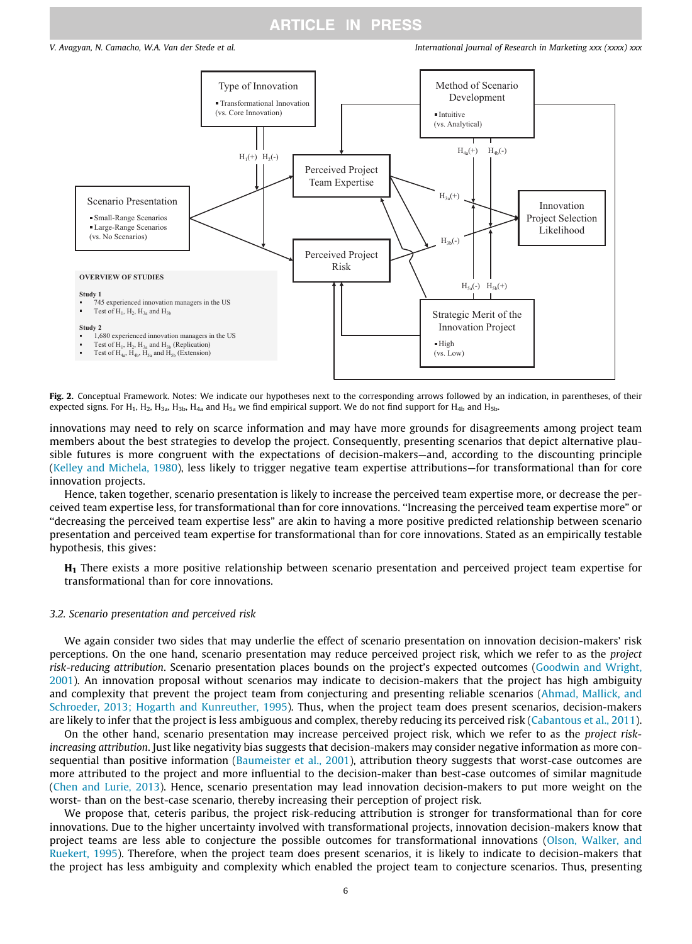<span id="page-5-0"></span>

Fig. 2. Conceptual Framework. Notes: We indicate our hypotheses next to the corresponding arrows followed by an indication, in parentheses, of their expected signs. For H<sub>1</sub>, H<sub>2</sub>, H<sub>3a</sub>, H<sub>3b</sub>, H<sub>4a</sub> and H<sub>5a</sub> we find empirical support. We do not find support for H<sub>4b</sub> and H<sub>5b</sub>.

innovations may need to rely on scarce information and may have more grounds for disagreements among project team members about the best strategies to develop the project. Consequently, presenting scenarios that depict alternative plausible futures is more congruent with the expectations of decision-makers—and, according to the discounting principle [\(Kelley and Michela, 1980\)](#page-18-0), less likely to trigger negative team expertise attributions—for transformational than for core innovation projects.

Hence, taken together, scenario presentation is likely to increase the perceived team expertise more, or decrease the perceived team expertise less, for transformational than for core innovations. ''Increasing the perceived team expertise more" or ''decreasing the perceived team expertise less" are akin to having a more positive predicted relationship between scenario presentation and perceived team expertise for transformational than for core innovations. Stated as an empirically testable hypothesis, this gives:

H<sub>1</sub> There exists a more positive relationship between scenario presentation and perceived project team expertise for transformational than for core innovations.

#### 3.2. Scenario presentation and perceived risk

We again consider two sides that may underlie the effect of scenario presentation on innovation decision-makers' risk perceptions. On the one hand, scenario presentation may reduce perceived project risk, which we refer to as the project risk-reducing attribution. Scenario presentation places bounds on the project's expected outcomes ([Goodwin and Wright,](#page-18-0) [2001\)](#page-18-0). An innovation proposal without scenarios may indicate to decision-makers that the project has high ambiguity and complexity that prevent the project team from conjecturing and presenting reliable scenarios [\(Ahmad, Mallick, and](#page-17-0) [Schroeder, 2013; Hogarth and Kunreuther, 1995](#page-17-0)). Thus, when the project team does present scenarios, decision-makers are likely to infer that the project is less ambiguous and complex, thereby reducing its perceived risk [\(Cabantous et al., 2011](#page-18-0)).

On the other hand, scenario presentation may increase perceived project risk, which we refer to as the project riskincreasing attribution. Just like negativity bias suggests that decision-makers may consider negative information as more con-sequential than positive information [\(Baumeister et al., 2001](#page-17-0)), attribution theory suggests that worst-case outcomes are more attributed to the project and more influential to the decision-maker than best-case outcomes of similar magnitude [\(Chen and Lurie, 2013\)](#page-18-0). Hence, scenario presentation may lead innovation decision-makers to put more weight on the worst- than on the best-case scenario, thereby increasing their perception of project risk.

We propose that, ceteris paribus, the project risk-reducing attribution is stronger for transformational than for core innovations. Due to the higher uncertainty involved with transformational projects, innovation decision-makers know that project teams are less able to conjecture the possible outcomes for transformational innovations ([Olson, Walker, and](#page-18-0) [Ruekert, 1995\)](#page-18-0). Therefore, when the project team does present scenarios, it is likely to indicate to decision-makers that the project has less ambiguity and complexity which enabled the project team to conjecture scenarios. Thus, presenting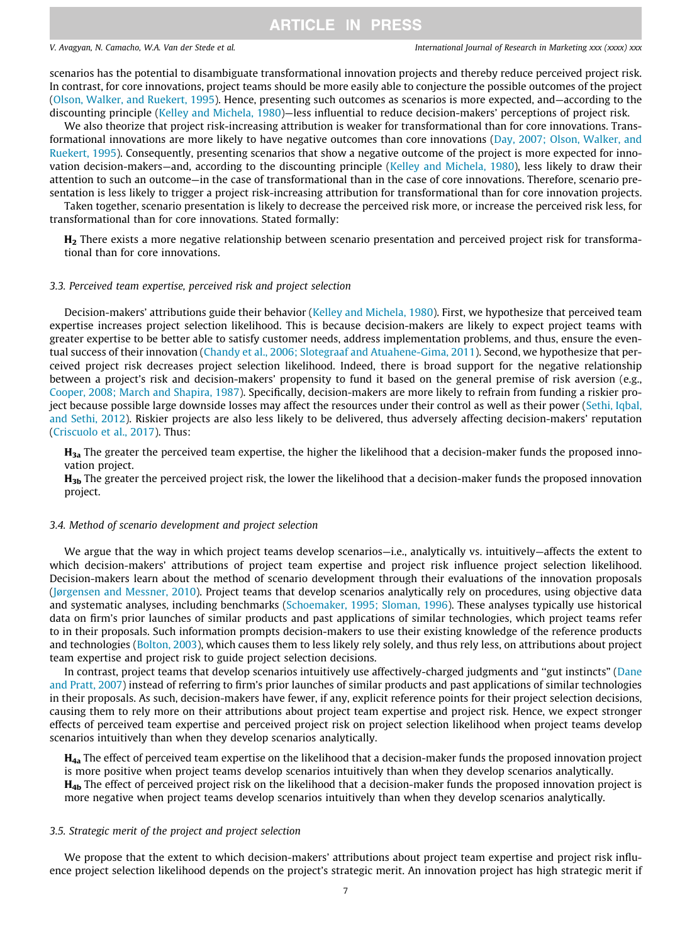scenarios has the potential to disambiguate transformational innovation projects and thereby reduce perceived project risk. In contrast, for core innovations, project teams should be more easily able to conjecture the possible outcomes of the project [\(Olson, Walker, and Ruekert, 1995\)](#page-18-0). Hence, presenting such outcomes as scenarios is more expected, and—according to the discounting principle [\(Kelley and Michela, 1980](#page-18-0))—less influential to reduce decision-makers' perceptions of project risk.

We also theorize that project risk-increasing attribution is weaker for transformational than for core innovations. Transformational innovations are more likely to have negative outcomes than core innovations ([Day, 2007; Olson, Walker, and](#page-18-0) [Ruekert, 1995\)](#page-18-0). Consequently, presenting scenarios that show a negative outcome of the project is more expected for innovation decision-makers—and, according to the discounting principle [\(Kelley and Michela, 1980\)](#page-18-0), less likely to draw their attention to such an outcome—in the case of transformational than in the case of core innovations. Therefore, scenario presentation is less likely to trigger a project risk-increasing attribution for transformational than for core innovation projects.

Taken together, scenario presentation is likely to decrease the perceived risk more, or increase the perceived risk less, for transformational than for core innovations. Stated formally:

H2 There exists a more negative relationship between scenario presentation and perceived project risk for transformational than for core innovations.

#### 3.3. Perceived team expertise, perceived risk and project selection

Decision-makers' attributions guide their behavior [\(Kelley and Michela, 1980\)](#page-18-0). First, we hypothesize that perceived team expertise increases project selection likelihood. This is because decision-makers are likely to expect project teams with greater expertise to be better able to satisfy customer needs, address implementation problems, and thus, ensure the eventual success of their innovation [\(Chandy et al., 2006; Slotegraaf and Atuahene-Gima, 2011](#page-18-0)). Second, we hypothesize that perceived project risk decreases project selection likelihood. Indeed, there is broad support for the negative relationship between a project's risk and decision-makers' propensity to fund it based on the general premise of risk aversion (e.g., [Cooper, 2008; March and Shapira, 1987](#page-18-0)). Specifically, decision-makers are more likely to refrain from funding a riskier project because possible large downside losses may affect the resources under their control as well as their power [\(Sethi, Iqbal,](#page-19-0) [and Sethi, 2012\)](#page-19-0). Riskier projects are also less likely to be delivered, thus adversely affecting decision-makers' reputation [\(Criscuolo et al., 2017\)](#page-18-0). Thus:

 $H_{3a}$  The greater the perceived team expertise, the higher the likelihood that a decision-maker funds the proposed innovation project.

 $H_{3b}$  The greater the perceived project risk, the lower the likelihood that a decision-maker funds the proposed innovation project.

#### 3.4. Method of scenario development and project selection

We argue that the way in which project teams develop scenarios—i.e., analytically vs. intuitively—affects the extent to which decision-makers' attributions of project team expertise and project risk influence project selection likelihood. Decision-makers learn about the method of scenario development through their evaluations of the innovation proposals [\(Jørgensen and Messner, 2010](#page-18-0)). Project teams that develop scenarios analytically rely on procedures, using objective data and systematic analyses, including benchmarks ([Schoemaker, 1995; Sloman, 1996](#page-19-0)). These analyses typically use historical data on firm's prior launches of similar products and past applications of similar technologies, which project teams refer to in their proposals. Such information prompts decision-makers to use their existing knowledge of the reference products and technologies ([Bolton, 2003](#page-18-0)), which causes them to less likely rely solely, and thus rely less, on attributions about project team expertise and project risk to guide project selection decisions.

In contrast, project teams that develop scenarios intuitively use affectively-charged judgments and ''gut instincts" ([Dane](#page-18-0) [and Pratt, 2007](#page-18-0)) instead of referring to firm's prior launches of similar products and past applications of similar technologies in their proposals. As such, decision-makers have fewer, if any, explicit reference points for their project selection decisions, causing them to rely more on their attributions about project team expertise and project risk. Hence, we expect stronger effects of perceived team expertise and perceived project risk on project selection likelihood when project teams develop scenarios intuitively than when they develop scenarios analytically.

 $H_{4a}$  The effect of perceived team expertise on the likelihood that a decision-maker funds the proposed innovation project is more positive when project teams develop scenarios intuitively than when they develop scenarios analytically.  $H_{4b}$  The effect of perceived project risk on the likelihood that a decision-maker funds the proposed innovation project is more negative when project teams develop scenarios intuitively than when they develop scenarios analytically.

#### 3.5. Strategic merit of the project and project selection

We propose that the extent to which decision-makers' attributions about project team expertise and project risk influence project selection likelihood depends on the project's strategic merit. An innovation project has high strategic merit if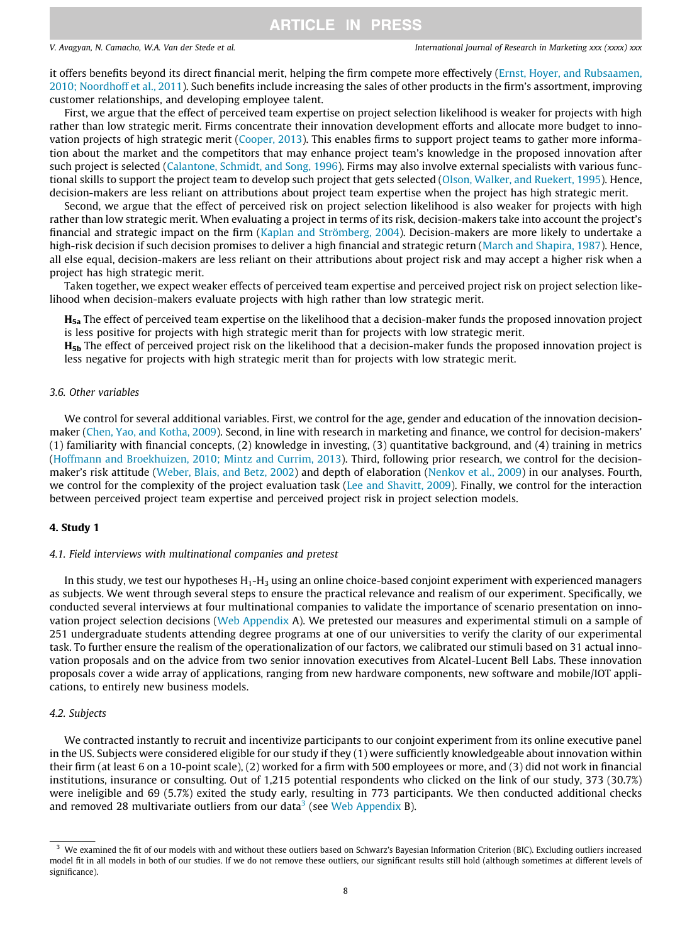it offers benefits beyond its direct financial merit, helping the firm compete more effectively ([Ernst, Hoyer, and Rubsaamen,](#page-18-0) [2010; Noordhoff et al., 2011\)](#page-18-0). Such benefits include increasing the sales of other products in the firm's assortment, improving customer relationships, and developing employee talent.

First, we argue that the effect of perceived team expertise on project selection likelihood is weaker for projects with high rather than low strategic merit. Firms concentrate their innovation development efforts and allocate more budget to innovation projects of high strategic merit [\(Cooper, 2013\)](#page-18-0). This enables firms to support project teams to gather more information about the market and the competitors that may enhance project team's knowledge in the proposed innovation after such project is selected ([Calantone, Schmidt, and Song, 1996\)](#page-18-0). Firms may also involve external specialists with various functional skills to support the project team to develop such project that gets selected [\(Olson, Walker, and Ruekert, 1995\)](#page-18-0). Hence, decision-makers are less reliant on attributions about project team expertise when the project has high strategic merit.

Second, we argue that the effect of perceived risk on project selection likelihood is also weaker for projects with high rather than low strategic merit. When evaluating a project in terms of its risk, decision-makers take into account the project's financial and strategic impact on the firm [\(Kaplan and Strömberg, 2004](#page-18-0)). Decision-makers are more likely to undertake a high-risk decision if such decision promises to deliver a high financial and strategic return ([March and Shapira, 1987\)](#page-18-0). Hence, all else equal, decision-makers are less reliant on their attributions about project risk and may accept a higher risk when a project has high strategic merit.

Taken together, we expect weaker effects of perceived team expertise and perceived project risk on project selection likelihood when decision-makers evaluate projects with high rather than low strategic merit.

H<sub>5a</sub> The effect of perceived team expertise on the likelihood that a decision-maker funds the proposed innovation project is less positive for projects with high strategic merit than for projects with low strategic merit.

 $H_{5b}$  The effect of perceived project risk on the likelihood that a decision-maker funds the proposed innovation project is less negative for projects with high strategic merit than for projects with low strategic merit.

#### 3.6. Other variables

We control for several additional variables. First, we control for the age, gender and education of the innovation decisionmaker [\(Chen, Yao, and Kotha, 2009](#page-18-0)). Second, in line with research in marketing and finance, we control for decision-makers' (1) familiarity with financial concepts, (2) knowledge in investing, (3) quantitative background, and (4) training in metrics [\(Hoffmann and Broekhuizen, 2010; Mintz and Currim, 2013\)](#page-18-0). Third, following prior research, we control for the decisionmaker's risk attitude [\(Weber, Blais, and Betz, 2002\)](#page-19-0) and depth of elaboration [\(Nenkov et al., 2009\)](#page-18-0) in our analyses. Fourth, we control for the complexity of the project evaluation task [\(Lee and Shavitt, 2009\)](#page-18-0). Finally, we control for the interaction between perceived project team expertise and perceived project risk in project selection models.

#### 4. Study 1

#### 4.1. Field interviews with multinational companies and pretest

In this study, we test our hypotheses H<sub>1</sub>-H<sub>3</sub> using an online choice-based conjoint experiment with experienced managers as subjects. We went through several steps to ensure the practical relevance and realism of our experiment. Specifically, we conducted several interviews at four multinational companies to validate the importance of scenario presentation on innovation project selection decisions (Web Appendix A). We pretested our measures and experimental stimuli on a sample of 251 undergraduate students attending degree programs at one of our universities to verify the clarity of our experimental task. To further ensure the realism of the operationalization of our factors, we calibrated our stimuli based on 31 actual innovation proposals and on the advice from two senior innovation executives from Alcatel-Lucent Bell Labs. These innovation proposals cover a wide array of applications, ranging from new hardware components, new software and mobile/IOT applications, to entirely new business models.

### 4.2. Subjects

We contracted instantly to recruit and incentivize participants to our conjoint experiment from its online executive panel in the US. Subjects were considered eligible for our study if they (1) were sufficiently knowledgeable about innovation within their firm (at least 6 on a 10-point scale), (2) worked for a firm with 500 employees or more, and (3) did not work in financial institutions, insurance or consulting. Out of 1,215 potential respondents who clicked on the link of our study, 373 (30.7%) were ineligible and 69 (5.7%) exited the study early, resulting in 773 participants. We then conducted additional checks and removed 28 multivariate outliers from our data<sup>3</sup> (see Web Appendix B).

<sup>&</sup>lt;sup>3</sup> We examined the fit of our models with and without these outliers based on Schwarz's Bayesian Information Criterion (BIC). Excluding outliers increased model fit in all models in both of our studies. If we do not remove these outliers, our significant results still hold (although sometimes at different levels of significance).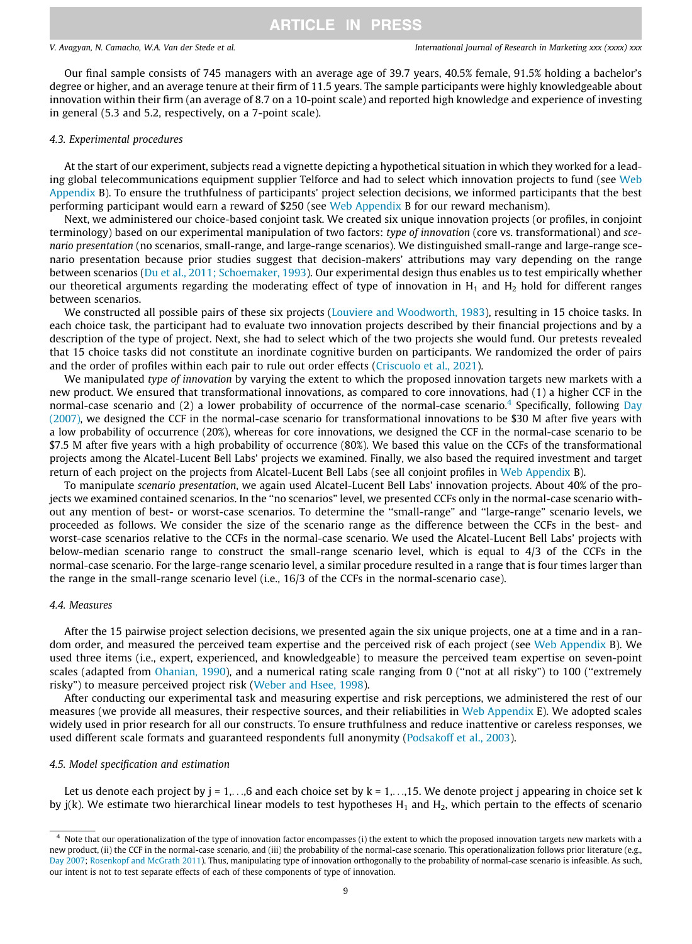Our final sample consists of 745 managers with an average age of 39.7 years, 40.5% female, 91.5% holding a bachelor's degree or higher, and an average tenure at their firm of 11.5 years. The sample participants were highly knowledgeable about innovation within their firm (an average of 8.7 on a 10-point scale) and reported high knowledge and experience of investing in general (5.3 and 5.2, respectively, on a 7-point scale).

#### 4.3. Experimental procedures

At the start of our experiment, subjects read a vignette depicting a hypothetical situation in which they worked for a leading global telecommunications equipment supplier Telforce and had to select which innovation projects to fund (see Web Appendix B). To ensure the truthfulness of participants' project selection decisions, we informed participants that the best performing participant would earn a reward of \$250 (see Web Appendix B for our reward mechanism).

Next, we administered our choice-based conjoint task. We created six unique innovation projects (or profiles, in conjoint terminology) based on our experimental manipulation of two factors: type of innovation (core vs. transformational) and scenario presentation (no scenarios, small-range, and large-range scenarios). We distinguished small-range and large-range scenario presentation because prior studies suggest that decision-makers' attributions may vary depending on the range between scenarios ([Du et al., 2011; Schoemaker, 1993](#page-18-0)). Our experimental design thus enables us to test empirically whether our theoretical arguments regarding the moderating effect of type of innovation in  $H_1$  and  $H_2$  hold for different ranges between scenarios.

We constructed all possible pairs of these six projects [\(Louviere and Woodworth, 1983\)](#page-18-0), resulting in 15 choice tasks. In each choice task, the participant had to evaluate two innovation projects described by their financial projections and by a description of the type of project. Next, she had to select which of the two projects she would fund. Our pretests revealed that 15 choice tasks did not constitute an inordinate cognitive burden on participants. We randomized the order of pairs and the order of profiles within each pair to rule out order effects ([Criscuolo et al., 2021\)](#page-18-0).

We manipulated type of innovation by varying the extent to which the proposed innovation targets new markets with a new product. We ensured that transformational innovations, as compared to core innovations, had (1) a higher CCF in the normal-case scenario and (2) a lower probability of occurrence of the normal-case scenario.<sup>4</sup> Specifically, following [Day](#page-18-0) [\(2007\)](#page-18-0), we designed the CCF in the normal-case scenario for transformational innovations to be \$30 M after five years with a low probability of occurrence (20%), whereas for core innovations, we designed the CCF in the normal-case scenario to be \$7.5 M after five years with a high probability of occurrence (80%). We based this value on the CCFs of the transformational projects among the Alcatel-Lucent Bell Labs' projects we examined. Finally, we also based the required investment and target return of each project on the projects from Alcatel-Lucent Bell Labs (see all conjoint profiles in Web Appendix B).

To manipulate scenario presentation, we again used Alcatel-Lucent Bell Labs' innovation projects. About 40% of the projects we examined contained scenarios. In the ''no scenarios" level, we presented CCFs only in the normal-case scenario without any mention of best- or worst-case scenarios. To determine the ''small-range" and ''large-range" scenario levels, we proceeded as follows. We consider the size of the scenario range as the difference between the CCFs in the best- and worst-case scenarios relative to the CCFs in the normal-case scenario. We used the Alcatel-Lucent Bell Labs' projects with below-median scenario range to construct the small-range scenario level, which is equal to 4/3 of the CCFs in the normal-case scenario. For the large-range scenario level, a similar procedure resulted in a range that is four times larger than the range in the small-range scenario level (i.e., 16/3 of the CCFs in the normal-scenario case).

#### 4.4. Measures

After the 15 pairwise project selection decisions, we presented again the six unique projects, one at a time and in a random order, and measured the perceived team expertise and the perceived risk of each project (see Web Appendix B). We used three items (i.e., expert, experienced, and knowledgeable) to measure the perceived team expertise on seven-point scales (adapted from [Ohanian, 1990\)](#page-18-0), and a numerical rating scale ranging from 0 ("not at all risky") to 100 ("extremely risky") to measure perceived project risk ([Weber and Hsee, 1998](#page-19-0)).

After conducting our experimental task and measuring expertise and risk perceptions, we administered the rest of our measures (we provide all measures, their respective sources, and their reliabilities in Web Appendix E). We adopted scales widely used in prior research for all our constructs. To ensure truthfulness and reduce inattentive or careless responses, we used different scale formats and guaranteed respondents full anonymity [\(Podsakoff et al., 2003\)](#page-19-0).

### 4.5. Model specification and estimation

Let us denote each project by  $j = 1, \ldots, 6$  and each choice set by  $k = 1, \ldots, 15$ . We denote project j appearing in choice set k by  $j(k)$ . We estimate two hierarchical linear models to test hypotheses  $H_1$  and  $H_2$ , which pertain to the effects of scenario

<sup>&</sup>lt;sup>4</sup> Note that our operationalization of the type of innovation factor encompasses (i) the extent to which the proposed innovation targets new markets with a new product, (ii) the CCF in the normal-case scenario, and (iii) the probability of the normal-case scenario. This operationalization follows prior literature (e.g., [Day 2007;](#page-18-0) [Rosenkopf and McGrath 2011](#page-19-0)). Thus, manipulating type of innovation orthogonally to the probability of normal-case scenario is infeasible. As such, our intent is not to test separate effects of each of these components of type of innovation.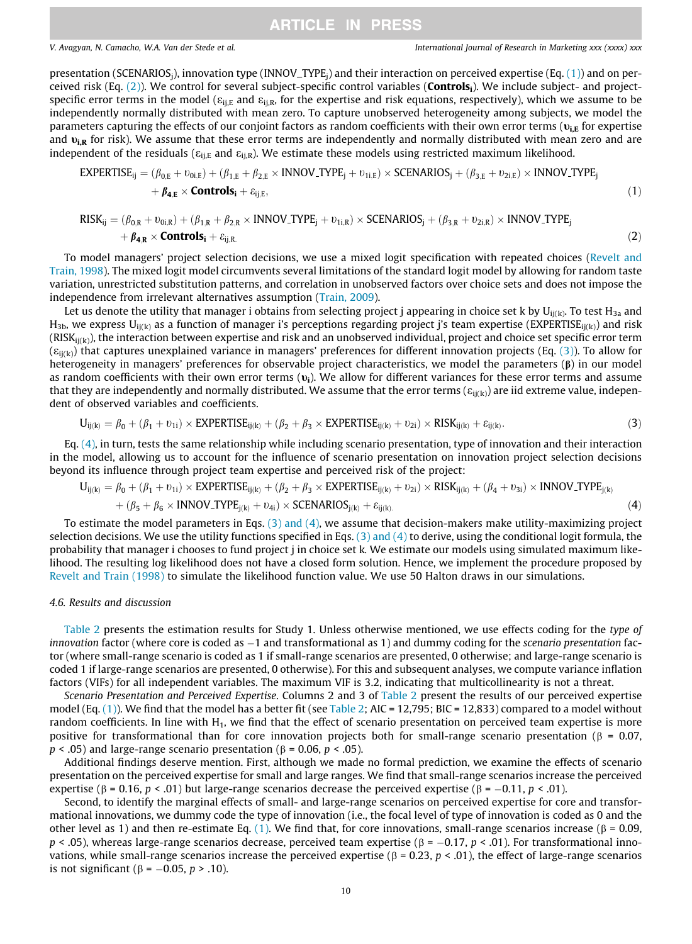<span id="page-9-0"></span>presentation (SCENARIOS<sub>i</sub>), innovation type (INNOV\_TYPE<sub>i</sub>) and their interaction on perceived expertise (Eq. (1)) and on perceived risk (Eq.  $(2)$ ). We control for several subject-specific control variables (**Controls**<sub>i</sub>). We include subject- and projectspecific error terms in the model ( $\varepsilon_{\text{ii,E}}$  and  $\varepsilon_{\text{ii,R}}$ , for the expertise and risk equations, respectively), which we assume to be independently normally distributed with mean zero. To capture unobserved heterogeneity among subjects, we model the parameters capturing the effects of our conjoint factors as random coefficients with their own error terms ( $v_{i,E}$  for expertise and  $v_{ik}$  for risk). We assume that these error terms are independently and normally distributed with mean zero and are independent of the residuals ( $\varepsilon_{\text{ij},E}$  and  $\varepsilon_{\text{ji},R}$ ). We estimate these models using restricted maximum likelihood.

EXPERTIES<sub>Eij</sub> = 
$$
(\beta_{0,E} + v_{0i,E}) + (\beta_{1,E} + \beta_{2,E} \times \text{INNOV\_TYPE}_j + v_{1i,E}) \times \text{SCENARIOS}_j + (\beta_{3,E} + v_{2i,E}) \times \text{INNOV\_TYPE}_j
$$
  
+  $\beta_{4,E} \times \text{Controls}_i + \varepsilon_{ij,E}$ , (1)

$$
RISK_{ij} = (\beta_{0,R} + \nu_{0i,R}) + (\beta_{1,R} + \beta_{2,R} \times INNOV\_TYPE_j + \nu_{1i,R}) \times SCENARIOS_j + (\beta_{3,R} + \nu_{2i,R}) \times INNOV\_TYPE_j
$$
  
+  $\beta_{4,R} \times$  **Controls**<sub>i</sub> +  $\varepsilon_{ij,R}$ . (2)

To model managers' project selection decisions, we use a mixed logit specification with repeated choices ([Revelt and](#page-19-0) [Train, 1998](#page-19-0)). The mixed logit model circumvents several limitations of the standard logit model by allowing for random taste variation, unrestricted substitution patterns, and correlation in unobserved factors over choice sets and does not impose the independence from irrelevant alternatives assumption [\(Train, 2009](#page-19-0)).

Let us denote the utility that manager i obtains from selecting project j appearing in choice set k by  $U_{i i(k)}$ . To test  $H_{3a}$  and  $H_{3b}$ , we express  $U_{i(k)}$  as a function of manager i's perceptions regarding project j's team expertise (EXPERTISE<sub>ij(k)</sub>) and risk  $(RISK_{i(k)})$ , the interaction between expertise and risk and an unobserved individual, project and choice set specific error term  $(\varepsilon_{\text{ii(k)}})$  that captures unexplained variance in managers' preferences for different innovation projects (Eq. (3)). To allow for heterogeneity in managers' preferences for observable project characteristics, we model the parameters  $(\beta)$  in our model as random coefficients with their own error terms  $(v_i)$ . We allow for different variances for these error terms and assume that they are independently and normally distributed. We assume that the error terms ( $\varepsilon_{ij(k)}$ ) are iid extreme value, independent of observed variables and coefficients.

$$
U_{ij(k)} = \beta_0 + (\beta_1 + \nu_{1i}) \times EXPERTIES_{ij(k)} + (\beta_2 + \beta_3 \times EXPERTIES_{ij(k)} + \nu_{2i}) \times RISK_{ij(k)} + \varepsilon_{ij(k)}.
$$
\n(3)

Eq. (4), in turn, tests the same relationship while including scenario presentation, type of innovation and their interaction in the model, allowing us to account for the influence of scenario presentation on innovation project selection decisions beyond its influence through project team expertise and perceived risk of the project:

$$
U_{ij(k)} = \beta_0 + (\beta_1 + \nu_{1i}) \times \text{EXPERTIES}_{ij(k)} + (\beta_2 + \beta_3 \times \text{EXPERTIES}_{ij(k)} + \nu_{2i}) \times \text{RISK}_{ij(k)} + (\beta_4 + \nu_{3i}) \times \text{INNOV\_TYPE}_{j(k)} + (\beta_5 + \beta_6 \times \text{INNOV\_TYPE}_{j(k)} + \nu_{4i}) \times \text{SCENARIOS}_{j(k)} + \varepsilon_{ij(k)}.
$$
\n
$$
(4)
$$

To estimate the model parameters in Eqs. (3) and (4), we assume that decision-makers make utility-maximizing project selection decisions. We use the utility functions specified in Eqs.  $(3)$  and  $(4)$  to derive, using the conditional logit formula, the probability that manager i chooses to fund project j in choice set k. We estimate our models using simulated maximum likelihood. The resulting log likelihood does not have a closed form solution. Hence, we implement the procedure proposed by [Revelt and Train \(1998\)](#page-19-0) to simulate the likelihood function value. We use 50 Halton draws in our simulations.

#### 4.6. Results and discussion

[Table 2](#page-10-0) presents the estimation results for Study 1. Unless otherwise mentioned, we use effects coding for the type of innovation factor (where core is coded as  $-1$  and transformational as 1) and dummy coding for the scenario presentation factor (where small-range scenario is coded as 1 if small-range scenarios are presented, 0 otherwise; and large-range scenario is coded 1 if large-range scenarios are presented, 0 otherwise). For this and subsequent analyses, we compute variance inflation factors (VIFs) for all independent variables. The maximum VIF is 3.2, indicating that multicollinearity is not a threat.

Scenario Presentation and Perceived Expertise. Columns 2 and 3 of [Table 2](#page-10-0) present the results of our perceived expertise model (Eq. (1)). We find that the model has a better fit (see [Table 2;](#page-10-0) AIC = 12,795; BIC = 12,833) compared to a model without random coefficients. In line with  $H_1$ , we find that the effect of scenario presentation on perceived team expertise is more positive for transformational than for core innovation projects both for small-range scenario presentation ( $\beta$  = 0.07,  $p < .05$ ) and large-range scenario presentation ( $\beta = 0.06$ ,  $p < .05$ ).

Additional findings deserve mention. First, although we made no formal prediction, we examine the effects of scenario presentation on the perceived expertise for small and large ranges. We find that small-range scenarios increase the perceived expertise ( $\beta$  = 0.16,  $p < .01$ ) but large-range scenarios decrease the perceived expertise ( $\beta$  = -0.11,  $p < .01$ ).

Second, to identify the marginal effects of small- and large-range scenarios on perceived expertise for core and transformational innovations, we dummy code the type of innovation (i.e., the focal level of type of innovation is coded as 0 and the other level as 1) and then re-estimate Eq. (1). We find that, for core innovations, small-range scenarios increase ( $\beta$  = 0.09,  $p < .05$ ), whereas large-range scenarios decrease, perceived team expertise ( $\beta = -0.17$ ,  $p < .01$ ). For transformational innovations, while small-range scenarios increase the perceived expertise ( $\beta$  = 0.23, p < .01), the effect of large-range scenarios is not significant ( $\beta$  = -0.05, p > .10).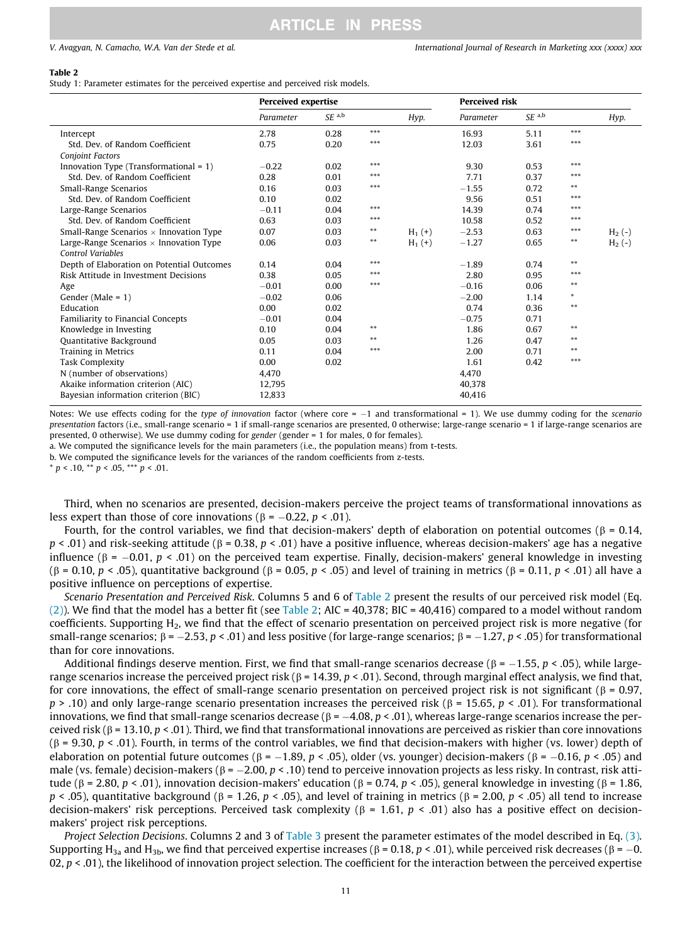#### <span id="page-10-0"></span>Table 2

Study 1: Parameter estimates for the perceived expertise and perceived risk models.

|                                                | <b>Perceived expertise</b> |                     |       |           | <b>Perceived risk</b> |                     |        |          |
|------------------------------------------------|----------------------------|---------------------|-------|-----------|-----------------------|---------------------|--------|----------|
|                                                | Parameter                  | $SE$ <sup>a,b</sup> |       | Hyp.      | Parameter             | $SE$ <sup>a,b</sup> |        | Hyp.     |
| Intercept                                      | 2.78                       | 0.28                | ***   |           | 16.93                 | 5.11                | ***    |          |
| Std. Dev. of Random Coefficient                | 0.75                       | 0.20                | ***   |           | 12.03                 | 3.61                | $***$  |          |
| <b>Conjoint Factors</b>                        |                            |                     |       |           |                       |                     |        |          |
| Innovation Type (Transformational $= 1$ )      | $-0.22$                    | 0.02                | ***   |           | 9.30                  | 0.53                | ***    |          |
| Std. Dev. of Random Coefficient                | 0.28                       | 0.01                | ***   |           | 7.71                  | 0.37                | ***    |          |
| Small-Range Scenarios                          | 0.16                       | 0.03                | ***   |           | $-1.55$               | 0.72                | $* *$  |          |
| Std. Dev. of Random Coefficient                | 0.10                       | 0.02                |       |           | 9.56                  | 0.51                | ***    |          |
| Large-Range Scenarios                          | $-0.11$                    | 0.04                | $***$ |           | 14.39                 | 0.74                | ***    |          |
| Std. Dev. of Random Coefficient                | 0.63                       | 0.03                | ***   |           | 10.58                 | 0.52                | ***    |          |
| Small-Range Scenarios $\times$ Innovation Type | 0.07                       | 0.03                | $***$ | $H_1$ (+) | $-2.53$               | 0.63                | $***$  | $H_2(-)$ |
| Large-Range Scenarios $\times$ Innovation Type | 0.06                       | 0.03                | $***$ | $H_1(+)$  | $-1.27$               | 0.65                | $***$  | $H_2(-)$ |
| <b>Control Variables</b>                       |                            |                     |       |           |                       |                     |        |          |
| Depth of Elaboration on Potential Outcomes     | 0.14                       | 0.04                | ***   |           | $-1.89$               | 0.74                | $**$   |          |
| Risk Attitude in Investment Decisions          | 0.38                       | 0.05                | ***   |           | 2.80                  | 0.95                | ***    |          |
| Age                                            | $-0.01$                    | 0.00                | ***   |           | $-0.16$               | 0.06                | $***$  |          |
| Gender (Male = $1$ )                           | $-0.02$                    | 0.06                |       |           | $-2.00$               | 1.14                | $\ast$ |          |
| Education                                      | 0.00                       | 0.02                |       |           | 0.74                  | 0.36                | $* *$  |          |
| Familiarity to Financial Concepts              | $-0.01$                    | 0.04                |       |           | $-0.75$               | 0.71                |        |          |
| Knowledge in Investing                         | 0.10                       | 0.04                | $***$ |           | 1.86                  | 0.67                | $***$  |          |
| Quantitative Background                        | 0.05                       | 0.03                | $* *$ |           | 1.26                  | 0.47                | $* *$  |          |
| Training in Metrics                            | 0.11                       | 0.04                | ***   |           | 2.00                  | 0.71                | $***$  |          |
| <b>Task Complexity</b>                         | 0.00                       | 0.02                |       |           | 1.61                  | 0.42                | ***    |          |
| N (number of observations)                     | 4.470                      |                     |       |           | 4.470                 |                     |        |          |
| Akaike information criterion (AIC)             | 12.795                     |                     |       |           | 40.378                |                     |        |          |
| Bayesian information criterion (BIC)           | 12.833                     |                     |       |           | 40,416                |                     |        |          |

Notes: We use effects coding for the type of innovation factor (where core  $= -1$  and transformational  $= 1$ ). We use dummy coding for the scenario presentation factors (i.e., small-range scenario = 1 if small-range scenarios are presented, 0 otherwise; large-range scenario = 1 if large-range scenarios are presented, 0 otherwise). We use dummy coding for gender (gender = 1 for males, 0 for females).

a. We computed the significance levels for the main parameters (i.e., the population means) from t-tests.

b. We computed the significance levels for the variances of the random coefficients from z-tests.

 $* p < .10, ** p < .05, ** p < .01.$ 

Third, when no scenarios are presented, decision-makers perceive the project teams of transformational innovations as less expert than those of core innovations ( $\beta$  = -0.22,  $p < .01$ ).

Fourth, for the control variables, we find that decision-makers' depth of elaboration on potential outcomes ( $\beta$  = 0.14,  $p < .01$ ) and risk-seeking attitude ( $\beta = 0.38$ ,  $p < .01$ ) have a positive influence, whereas decision-makers' age has a negative influence ( $\beta$  = -0.01,  $p < .01$ ) on the perceived team expertise. Finally, decision-makers' general knowledge in investing ( $\beta$  = 0.10,  $p$  < .05), quantitative background ( $\beta$  = 0.05,  $p$  < .05) and level of training in metrics ( $\beta$  = 0.11,  $p$  < .01) all have a positive influence on perceptions of expertise.

Scenario Presentation and Perceived Risk. Columns 5 and 6 of Table 2 present the results of our perceived risk model (Eq.  $(2)$ ). We find that the model has a better fit (see Table 2; AIC = 40,378; BIC = 40,416) compared to a model without random coefficients. Supporting H2, we find that the effect of scenario presentation on perceived project risk is more negative (for small-range scenarios;  $\beta = -2.53$ ,  $p < .01$ ) and less positive (for large-range scenarios;  $\beta = -1.27$ ,  $p < .05$ ) for transformational than for core innovations.

Additional findings deserve mention. First, we find that small-range scenarios decrease ( $\beta = -1.55$ ,  $p < .05$ ), while largerange scenarios increase the perceived project risk ( $\beta$  = 14.39, p < .01). Second, through marginal effect analysis, we find that, for core innovations, the effect of small-range scenario presentation on perceived project risk is not significant ( $\beta$  = 0.97,  $p > .10$ ) and only large-range scenario presentation increases the perceived risk ( $\beta = 15.65$ ,  $p < .01$ ). For transformational innovations, we find that small-range scenarios decrease ( $\beta = -4.08$ ,  $p < .01$ ), whereas large-range scenarios increase the perceived risk ( $\beta$  = 13.10,  $p < 0$ 1). Third, we find that transformational innovations are perceived as riskier than core innovations  $(\beta = 9.30, p < .01)$ . Fourth, in terms of the control variables, we find that decision-makers with higher (vs. lower) depth of elaboration on potential future outcomes ( $\beta = -1.89$ ,  $p < .05$ ), older (vs. younger) decision-makers ( $\beta = -0.16$ ,  $p < .05$ ) and male (vs. female) decision-makers ( $\beta = -2.00$ ,  $p < .10$ ) tend to perceive innovation projects as less risky. In contrast, risk attitude ( $\beta$  = 2.80,  $p < .01$ ), innovation decision-makers' education ( $\beta$  = 0.74,  $p < .05$ ), general knowledge in investing ( $\beta$  = 1.86,  $p < .05$ ), quantitative background ( $\beta = 1.26$ ,  $p < .05$ ), and level of training in metrics ( $\beta = 2.00$ ,  $p < .05$ ) all tend to increase decision-makers' risk perceptions. Perceived task complexity ( $\beta$  = 1.61,  $p$  < .01) also has a positive effect on decisionmakers' project risk perceptions.

Project Selection Decisions. Columns 2 and 3 of [Table 3](#page-11-0) present the parameter estimates of the model described in Eq. [\(3\)](#page-9-0). Supporting H<sub>3a</sub> and H<sub>3b</sub>, we find that perceived expertise increases ( $\beta$  = 0.18, p < .01), while perceived risk decreases ( $\beta$  = -0. 02,  $p < 0.01$ ), the likelihood of innovation project selection. The coefficient for the interaction between the perceived expertise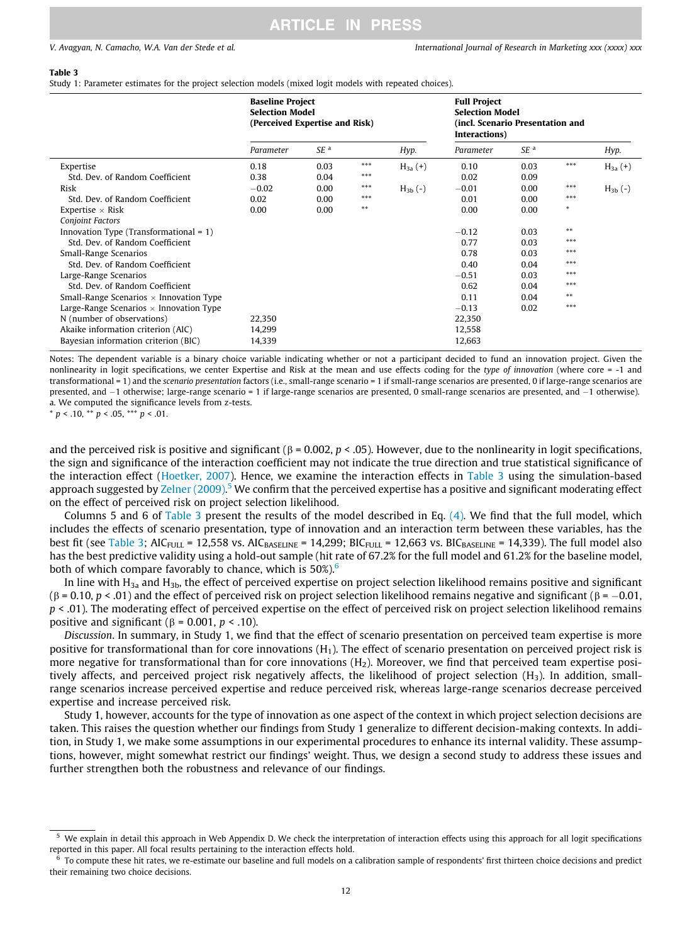#### <span id="page-11-0"></span>Table 3

Study 1: Parameter estimates for the project selection models (mixed logit models with repeated choices).

|                                                                                                                                                                      | <b>Baseline Project</b><br><b>Selection Model</b><br>(Perceived Expertise and Risk) |                      |                          |                            | <b>Full Project</b><br><b>Selection Model</b><br>(incl. Scenario Presentation and<br>Interactions) |                      |                       |                            |
|----------------------------------------------------------------------------------------------------------------------------------------------------------------------|-------------------------------------------------------------------------------------|----------------------|--------------------------|----------------------------|----------------------------------------------------------------------------------------------------|----------------------|-----------------------|----------------------------|
|                                                                                                                                                                      | Parameter                                                                           | SE <sup>a</sup>      |                          | Hyp.                       | Parameter                                                                                          | SE <sup>a</sup>      |                       | Hyp.                       |
| Expertise<br>Std. Dev. of Random Coefficient<br>Risk                                                                                                                 | 0.18<br>0.38<br>$-0.02$                                                             | 0.03<br>0.04<br>0.00 | ***<br>***<br>***<br>*** | $H_{3a}(+)$<br>$H_{3h}(-)$ | 0.10<br>0.02<br>$-0.01$                                                                            | 0.03<br>0.09<br>0.00 | $***$<br>$***$<br>*** | $H_{3a}(+)$<br>$H_{3b}(-)$ |
| Std. Dev. of Random Coefficient<br>Expertise $\times$ Risk<br><b>Conjoint Factors</b>                                                                                | 0.02<br>0.00                                                                        | 0.00<br>0.00         | $***$                    |                            | 0.01<br>0.00                                                                                       | 0.00<br>0.00         | $\ast$                |                            |
| Innovation Type (Transformational $= 1$ )<br>Std. Dev. of Random Coefficient<br>Small-Range Scenarios                                                                |                                                                                     |                      |                          |                            | $-0.12$<br>0.77<br>0.78                                                                            | 0.03<br>0.03<br>0.03 | $***$<br>***<br>***   |                            |
| Std. Dev. of Random Coefficient<br>Large-Range Scenarios<br>Std. Dev. of Random Coefficient                                                                          |                                                                                     |                      |                          |                            | 0.40<br>$-0.51$<br>0.62                                                                            | 0.04<br>0.03<br>0.04 | ***<br>***<br>$***$   |                            |
| Small-Range Scenarios $\times$ Innovation Type<br>Large-Range Scenarios $\times$ Innovation Type<br>N (number of observations)<br>Akaike information criterion (AIC) | 22,350<br>14,299                                                                    |                      |                          |                            | 0.11<br>$-0.13$<br>22,350<br>12,558                                                                | 0.04<br>0.02         | $***$<br>***          |                            |
| Bayesian information criterion (BIC)                                                                                                                                 | 14,339                                                                              |                      |                          |                            | 12,663                                                                                             |                      |                       |                            |

Notes: The dependent variable is a binary choice variable indicating whether or not a participant decided to fund an innovation project. Given the nonlinearity in logit specifications, we center Expertise and Risk at the mean and use effects coding for the type of innovation (where core = -1 and transformational = 1) and the scenario presentation factors (i.e., small-range scenario = 1 if small-range scenarios are presented, 0 if large-range scenarios are presented, and -1 otherwise; large-range scenario = 1 if large-range scenarios are presented, 0 small-range scenarios are presented, and -1 otherwise). a. We computed the significance levels from z-tests.

\*  $p < .10$ , \*\*  $p < .05$ , \*\*\*  $p < .01$ .

and the perceived risk is positive and significant ( $\beta$  = 0.002,  $p$  < .05). However, due to the nonlinearity in logit specifications, the sign and significance of the interaction coefficient may not indicate the true direction and true statistical significance of the interaction effect ([Hoetker, 2007](#page-18-0)). Hence, we examine the interaction effects in Table 3 using the simulation-based approach suggested by [Zelner \(2009\)](#page-19-0).<sup>5</sup> We confirm that the perceived expertise has a positive and significant moderating effect on the effect of perceived risk on project selection likelihood.

Columns 5 and 6 of Table 3 present the results of the model described in Eq. [\(4\).](#page-9-0) We find that the full model, which includes the effects of scenario presentation, type of innovation and an interaction term between these variables, has the best fit (see Table 3; AIC<sub>FULL</sub> = 12,558 vs. AIC<sub>BASELINE</sub> = 14,299; BIC<sub>FULL</sub> = 12,663 vs. BIC<sub>BASELINE</sub> = 14,339). The full model also has the best predictive validity using a hold-out sample (hit rate of 67.2% for the full model and 61.2% for the baseline model, both of which compare favorably to chance, which is  $50\%$ .<sup>6</sup>

In line with  $H_{3a}$  and  $H_{3b}$ , the effect of perceived expertise on project selection likelihood remains positive and significant  $(\beta = 0.10, p < .01)$  and the effect of perceived risk on project selection likelihood remains negative and significant ( $\beta = -0.01$ ,  $p \lt 0.01$ ). The moderating effect of perceived expertise on the effect of perceived risk on project selection likelihood remains positive and significant ( $\beta$  = 0.001,  $p$  < .10).

Discussion. In summary, in Study 1, we find that the effect of scenario presentation on perceived team expertise is more positive for transformational than for core innovations  $(H_1)$ . The effect of scenario presentation on perceived project risk is more negative for transformational than for core innovations  $(H_2)$ . Moreover, we find that perceived team expertise positively affects, and perceived project risk negatively affects, the likelihood of project selection  $(H_3)$ . In addition, smallrange scenarios increase perceived expertise and reduce perceived risk, whereas large-range scenarios decrease perceived expertise and increase perceived risk.

Study 1, however, accounts for the type of innovation as one aspect of the context in which project selection decisions are taken. This raises the question whether our findings from Study 1 generalize to different decision-making contexts. In addition, in Study 1, we make some assumptions in our experimental procedures to enhance its internal validity. These assumptions, however, might somewhat restrict our findings' weight. Thus, we design a second study to address these issues and further strengthen both the robustness and relevance of our findings.

<sup>5</sup> We explain in detail this approach in Web Appendix D. We check the interpretation of interaction effects using this approach for all logit specifications reported in this paper. All focal results pertaining to the interaction effects hold.

<sup>6</sup> To compute these hit rates, we re-estimate our baseline and full models on a calibration sample of respondents' first thirteen choice decisions and predict their remaining two choice decisions.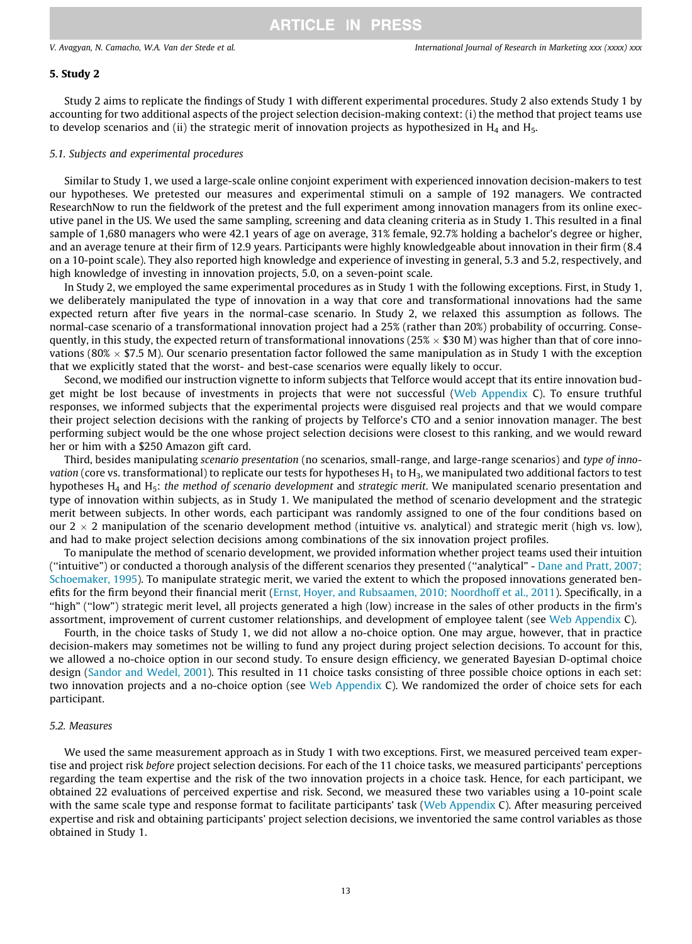#### <span id="page-12-0"></span>5. Study 2

Study 2 aims to replicate the findings of Study 1 with different experimental procedures. Study 2 also extends Study 1 by accounting for two additional aspects of the project selection decision-making context: (i) the method that project teams use to develop scenarios and (ii) the strategic merit of innovation projects as hypothesized in  $H_4$  and  $H_5$ .

### 5.1. Subjects and experimental procedures

Similar to Study 1, we used a large-scale online conjoint experiment with experienced innovation decision-makers to test our hypotheses. We pretested our measures and experimental stimuli on a sample of 192 managers. We contracted ResearchNow to run the fieldwork of the pretest and the full experiment among innovation managers from its online executive panel in the US. We used the same sampling, screening and data cleaning criteria as in Study 1. This resulted in a final sample of 1,680 managers who were 42.1 years of age on average, 31% female, 92.7% holding a bachelor's degree or higher, and an average tenure at their firm of 12.9 years. Participants were highly knowledgeable about innovation in their firm (8.4 on a 10-point scale). They also reported high knowledge and experience of investing in general, 5.3 and 5.2, respectively, and high knowledge of investing in innovation projects, 5.0, on a seven-point scale.

In Study 2, we employed the same experimental procedures as in Study 1 with the following exceptions. First, in Study 1, we deliberately manipulated the type of innovation in a way that core and transformational innovations had the same expected return after five years in the normal-case scenario. In Study 2, we relaxed this assumption as follows. The normal-case scenario of a transformational innovation project had a 25% (rather than 20%) probability of occurring. Consequently, in this study, the expected return of transformational innovations (25%  $\times$  \$30 M) was higher than that of core innovations (80%  $\times$  \$7.5 M). Our scenario presentation factor followed the same manipulation as in Study 1 with the exception that we explicitly stated that the worst- and best-case scenarios were equally likely to occur.

Second, we modified our instruction vignette to inform subjects that Telforce would accept that its entire innovation budget might be lost because of investments in projects that were not successful (Web Appendix C). To ensure truthful responses, we informed subjects that the experimental projects were disguised real projects and that we would compare their project selection decisions with the ranking of projects by Telforce's CTO and a senior innovation manager. The best performing subject would be the one whose project selection decisions were closest to this ranking, and we would reward her or him with a \$250 Amazon gift card.

Third, besides manipulating scenario presentation (no scenarios, small-range, and large-range scenarios) and type of innovation (core vs. transformational) to replicate our tests for hypotheses  $H_1$  to  $H_3$ , we manipulated two additional factors to test hypotheses  $H_4$  and  $H_5$ : the method of scenario development and strategic merit. We manipulated scenario presentation and type of innovation within subjects, as in Study 1. We manipulated the method of scenario development and the strategic merit between subjects. In other words, each participant was randomly assigned to one of the four conditions based on our 2  $\times$  2 manipulation of the scenario development method (intuitive vs. analytical) and strategic merit (high vs. low), and had to make project selection decisions among combinations of the six innovation project profiles.

To manipulate the method of scenario development, we provided information whether project teams used their intuition (''intuitive") or conducted a thorough analysis of the different scenarios they presented (''analytical" - [Dane and Pratt, 2007;](#page-18-0) [Schoemaker, 1995](#page-18-0)). To manipulate strategic merit, we varied the extent to which the proposed innovations generated benefits for the firm beyond their financial merit [\(Ernst, Hoyer, and Rubsaamen, 2010; Noordhoff et al., 2011](#page-18-0)). Specifically, in a ''high" (''low") strategic merit level, all projects generated a high (low) increase in the sales of other products in the firm's assortment, improvement of current customer relationships, and development of employee talent (see Web Appendix C).

Fourth, in the choice tasks of Study 1, we did not allow a no-choice option. One may argue, however, that in practice decision-makers may sometimes not be willing to fund any project during project selection decisions. To account for this, we allowed a no-choice option in our second study. To ensure design efficiency, we generated Bayesian D-optimal choice design ([Sandor and Wedel, 2001\)](#page-19-0). This resulted in 11 choice tasks consisting of three possible choice options in each set: two innovation projects and a no-choice option (see Web Appendix C). We randomized the order of choice sets for each participant.

### 5.2. Measures

We used the same measurement approach as in Study 1 with two exceptions. First, we measured perceived team expertise and project risk before project selection decisions. For each of the 11 choice tasks, we measured participants' perceptions regarding the team expertise and the risk of the two innovation projects in a choice task. Hence, for each participant, we obtained 22 evaluations of perceived expertise and risk. Second, we measured these two variables using a 10-point scale with the same scale type and response format to facilitate participants' task (Web Appendix C). After measuring perceived expertise and risk and obtaining participants' project selection decisions, we inventoried the same control variables as those obtained in Study 1.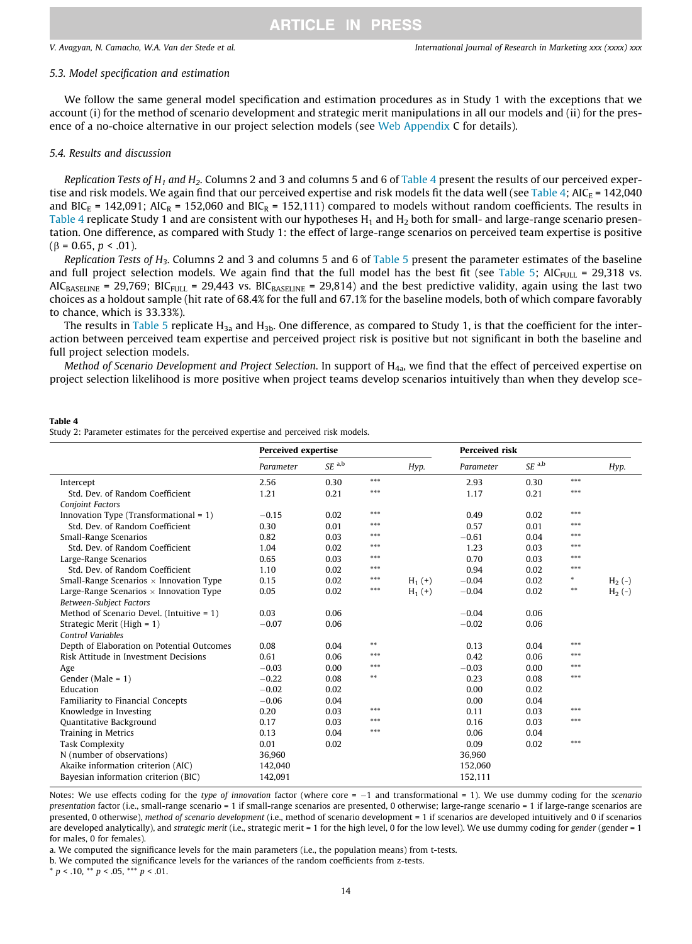#### 5.3. Model specification and estimation

We follow the same general model specification and estimation procedures as in Study 1 with the exceptions that we account (i) for the method of scenario development and strategic merit manipulations in all our models and (ii) for the presence of a no-choice alternative in our project selection models (see Web Appendix C for details).

#### 5.4. Results and discussion

Replication Tests of  $H_1$  and  $H_2$ . Columns 2 and 3 and columns 5 and 6 of Table 4 present the results of our perceived expertise and risk models. We again find that our perceived expertise and risk models fit the data well (see Table 4; AIC<sub>E</sub> = 142,040 and BIC<sub>E</sub> = 142,091; AIC<sub>R</sub> = 152,060 and BIC<sub>R</sub> = 152,111) compared to models without random coefficients. The results in Table 4 replicate Study 1 and are consistent with our hypotheses  $H_1$  and  $H_2$  both for small- and large-range scenario presentation. One difference, as compared with Study 1: the effect of large-range scenarios on perceived team expertise is positive  $(\beta = 0.65, p < .01)$ .

Replication Tests of  $H_3$ . Columns 2 and 3 and columns 5 and 6 of [Table 5](#page-14-0) present the parameter estimates of the baseline and full project selection models. We again find that the full model has the best fit (see [Table 5](#page-14-0); AIC<sub>FULL</sub> = 29,318 vs.  $AIC_{BASELINE}$  = 29,769; BIC<sub>FULL</sub> = 29,443 vs. BIC<sub>BASELINE</sub> = 29,814) and the best predictive validity, again using the last two choices as a holdout sample (hit rate of 68.4% for the full and 67.1% for the baseline models, both of which compare favorably to chance, which is 33.33%).

The results in [Table 5](#page-14-0) replicate  $H_{3a}$  and  $H_{3b}$ . One difference, as compared to Study 1, is that the coefficient for the interaction between perceived team expertise and perceived project risk is positive but not significant in both the baseline and full project selection models.

Method of Scenario Development and Project Selection. In support of H<sub>4a</sub>, we find that the effect of perceived expertise on project selection likelihood is more positive when project teams develop scenarios intuitively than when they develop sce-

#### Table 4

Study 2: Parameter estimates for the perceived expertise and perceived risk models.

|                                                | <b>Perceived expertise</b> |                     |       |          | <b>Perceived risk</b> |                     |            |          |
|------------------------------------------------|----------------------------|---------------------|-------|----------|-----------------------|---------------------|------------|----------|
|                                                | Parameter                  | $SE$ <sup>a,b</sup> |       | Hyp.     | Parameter             | $SE$ <sup>a,b</sup> |            | Hyp.     |
| Intercept                                      | 2.56                       | 0.30                | $***$ |          | 2.93                  | 0.30                | $***$      |          |
| Std. Dev. of Random Coefficient                | 1.21                       | 0.21                | ***   |          | 1.17                  | 0.21                | ***        |          |
| <b>Conjoint Factors</b>                        |                            |                     |       |          |                       |                     |            |          |
| Innovation Type (Transformational $= 1$ )      | $-0.15$                    | 0.02                | $***$ |          | 0.49                  | 0.02                | ***        |          |
| Std. Dev. of Random Coefficient                | 0.30                       | 0.01                | ***   |          | 0.57                  | 0.01                | ***        |          |
| Small-Range Scenarios                          | 0.82                       | 0.03                | ***   |          | $-0.61$               | 0.04                | ***        |          |
| Std. Dev. of Random Coefficient                | 1.04                       | 0.02                | ***   |          | 1.23                  | 0.03                | ***        |          |
| Large-Range Scenarios                          | 0.65                       | 0.03                | $***$ |          | 0.70                  | 0.03                | ***        |          |
| Std. Dev. of Random Coefficient                | 1.10                       | 0.02                | ***   |          | 0.94                  | 0.02                | $***$      |          |
| Small-Range Scenarios $\times$ Innovation Type | 0.15                       | 0.02                | $***$ | $H_1(+)$ | $-0.04$               | 0.02                | $\ast$     | $H_2(-)$ |
| Large-Range Scenarios $\times$ Innovation Type | 0.05                       | 0.02                | $***$ | $H_1(+)$ | $-0.04$               | 0.02                | $\ast\ast$ | $H_2(-)$ |
| <b>Between-Subject Factors</b>                 |                            |                     |       |          |                       |                     |            |          |
| Method of Scenario Devel. (Intuitive $= 1$ )   | 0.03                       | 0.06                |       |          | $-0.04$               | 0.06                |            |          |
| Strategic Merit (High = $1$ )                  | $-0.07$                    | 0.06                |       |          | $-0.02$               | 0.06                |            |          |
| <b>Control Variables</b>                       |                            |                     |       |          |                       |                     |            |          |
| Depth of Elaboration on Potential Outcomes     | 0.08                       | 0.04                | $**$  |          | 0.13                  | 0.04                | ***        |          |
| Risk Attitude in Investment Decisions          | 0.61                       | 0.06                | $***$ |          | 0.42                  | 0.06                | ***        |          |
| Age                                            | $-0.03$                    | 0.00                | ***   |          | $-0.03$               | 0.00                | ***        |          |
| Gender (Male = $1$ )                           | $-0.22$                    | 0.08                | $**$  |          | 0.23                  | 0.08                | ***        |          |
| Education                                      | $-0.02$                    | 0.02                |       |          | 0.00                  | 0.02                |            |          |
| Familiarity to Financial Concepts              | $-0.06$                    | 0.04                |       |          | 0.00                  | 0.04                |            |          |
| Knowledge in Investing                         | 0.20                       | 0.03                | $***$ |          | 0.11                  | 0.03                | ***        |          |
| Quantitative Background                        | 0.17                       | 0.03                | ***   |          | 0.16                  | 0.03                | $***$      |          |
| Training in Metrics                            | 0.13                       | 0.04                | ***   |          | 0.06                  | 0.04                |            |          |
| <b>Task Complexity</b>                         | 0.01                       | 0.02                |       |          | 0.09                  | 0.02                | $***$      |          |
| N (number of observations)                     | 36,960                     |                     |       |          | 36,960                |                     |            |          |
| Akaike information criterion (AIC)             | 142,040                    |                     |       |          | 152,060               |                     |            |          |
| Bayesian information criterion (BIC)           | 142,091                    |                     |       |          | 152,111               |                     |            |          |

Notes: We use effects coding for the type of innovation factor (where core  $= -1$  and transformational  $= 1$ ). We use dummy coding for the scenario presentation factor (i.e., small-range scenario = 1 if small-range scenarios are presented, 0 otherwise; large-range scenario = 1 if large-range scenarios are presented, 0 otherwise), method of scenario development (i.e., method of scenario development = 1 if scenarios are developed intuitively and 0 if scenarios are developed analytically), and *strategic merit* (i.e., strategic merit = 1 for the high level, 0 for the low level). We use dummy coding for *gender* (gender = 1 for males, 0 for females).

a. We computed the significance levels for the main parameters (i.e., the population means) from t-tests.

b. We computed the significance levels for the variances of the random coefficients from z-tests.

 $*$  p < .10,  $*$  p < .05,  $**$  p < .01.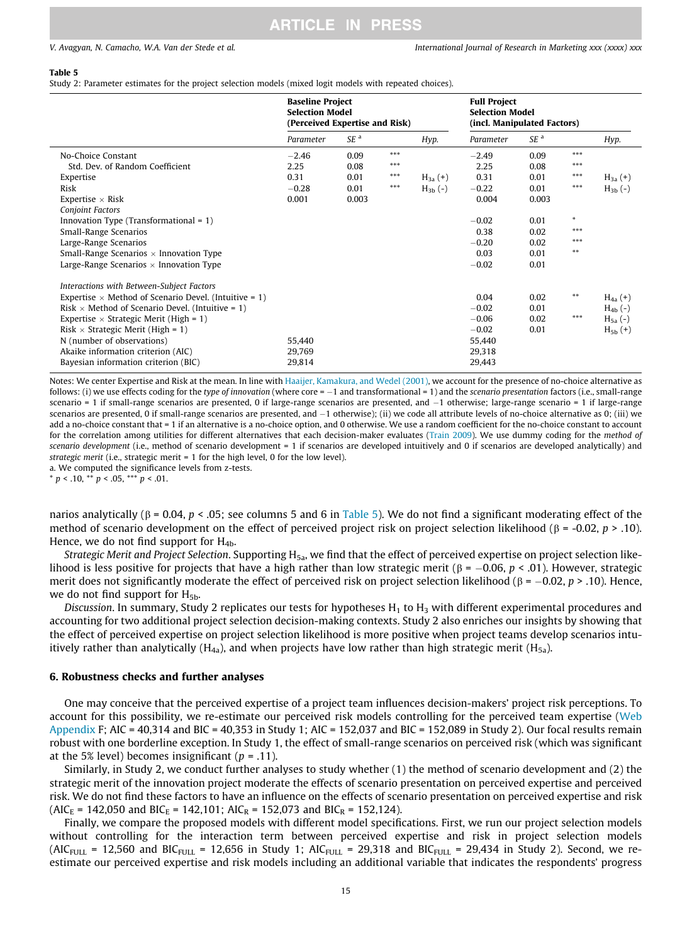#### <span id="page-14-0"></span>Table 5

Study 2: Parameter estimates for the project selection models (mixed logit models with repeated choices).

|                                                              | <b>Baseline Project</b><br><b>Selection Model</b><br>(Perceived Expertise and Risk) |                 |       | <b>Full Project</b><br><b>Selection Model</b><br>(incl. Manipulated Factors) |           |                 |        |                |
|--------------------------------------------------------------|-------------------------------------------------------------------------------------|-----------------|-------|------------------------------------------------------------------------------|-----------|-----------------|--------|----------------|
|                                                              | Parameter                                                                           | SE <sup>a</sup> |       | Hyp.                                                                         | Parameter | SE <sup>a</sup> |        | Hyp.           |
| No-Choice Constant                                           | $-2.46$                                                                             | 0.09            | ***   |                                                                              | $-2.49$   | 0.09            | ***    |                |
| Std. Dev. of Random Coefficient                              | 2.25                                                                                | 0.08            | $***$ |                                                                              | 2.25      | 0.08            | ***    |                |
| Expertise                                                    | 0.31                                                                                | 0.01            | $***$ | $H_{3a}(+)$                                                                  | 0.31      | 0.01            | ***    | $H_{3a}(+)$    |
| Risk                                                         | $-0.28$                                                                             | 0.01            | ***   | $H_{3h}(-)$                                                                  | $-0.22$   | 0.01            | $***$  | $H_{3b}(-)$    |
| Expertise $\times$ Risk                                      | 0.001                                                                               | 0.003           |       |                                                                              | 0.004     | 0.003           |        |                |
| <b>Conjoint Factors</b>                                      |                                                                                     |                 |       |                                                                              |           |                 |        |                |
| Innovation Type (Transformational $= 1$ )                    |                                                                                     |                 |       |                                                                              | $-0.02$   | 0.01            | $\ast$ |                |
| Small-Range Scenarios                                        |                                                                                     |                 |       |                                                                              | 0.38      | 0.02            | ***    |                |
| Large-Range Scenarios                                        |                                                                                     |                 |       |                                                                              | $-0.20$   | 0.02            | ***    |                |
| Small-Range Scenarios $\times$ Innovation Type               |                                                                                     |                 |       |                                                                              | 0.03      | 0.01            | $***$  |                |
| Large-Range Scenarios $\times$ Innovation Type               |                                                                                     |                 |       |                                                                              | $-0.02$   | 0.01            |        |                |
| Interactions with Between-Subject Factors                    |                                                                                     |                 |       |                                                                              |           |                 |        |                |
| Expertise $\times$ Method of Scenario Devel. (Intuitive = 1) |                                                                                     |                 |       |                                                                              | 0.04      | 0.02            | $***$  | $H_{4a}(+)$    |
| Risk $\times$ Method of Scenario Devel. (Intuitive = 1)      |                                                                                     |                 |       |                                                                              | $-0.02$   | 0.01            |        | $H_{4b}(-)$    |
| Expertise $\times$ Strategic Merit (High = 1)                |                                                                                     |                 |       |                                                                              | $-0.06$   | 0.02            | ***    | $H_{5a}(-)$    |
| Risk $\times$ Strategic Merit (High = 1)                     |                                                                                     |                 |       |                                                                              | $-0.02$   | 0.01            |        | $H_{5b}$ $(+)$ |
| N (number of observations)                                   | 55,440                                                                              |                 |       |                                                                              | 55,440    |                 |        |                |
| Akaike information criterion (AIC)                           | 29,769                                                                              |                 |       |                                                                              | 29,318    |                 |        |                |
| Bayesian information criterion (BIC)                         | 29,814                                                                              |                 |       |                                                                              | 29,443    |                 |        |                |

Notes: We center Expertise and Risk at the mean. In line with [Haaijer, Kamakura, and Wedel \(2001\),](#page-18-0) we account for the presence of no-choice alternative as follows: (i) we use effects coding for the type of innovation (where core = -1 and transformational = 1) and the scenario presentation factors (i.e., small-range scenario = 1 if small-range scenarios are presented, 0 if large-range scenarios are presented, and  $-1$  otherwise; large-range scenario = 1 if large-range scenarios are presented, 0 if small-range scenarios are presented, and  $-1$  otherwise); (ii) we code all attribute levels of no-choice alternative as 0; (iii) we add a no-choice constant that = 1 if an alternative is a no-choice option, and 0 otherwise. We use a random coefficient for the no-choice constant to account for the correlation among utilities for different alternatives that each decision-maker evaluates [\(Train 2009](#page-19-0)). We use dummy coding for the method of scenario development (i.e., method of scenario development = 1 if scenarios are developed intuitively and 0 if scenarios are developed analytically) and strategic merit (i.e., strategic merit = 1 for the high level, 0 for the low level).

a. We computed the significance levels from z-tests.

 $* p < .10, ** p < .05, ** p < .01.$ 

narios analytically ( $\beta$  = 0.04,  $p <$  0.05; see columns 5 and 6 in Table 5). We do not find a significant moderating effect of the method of scenario development on the effect of perceived project risk on project selection likelihood ( $\beta$  = -0.02, p > .10). Hence, we do not find support for  $H_{4b}$ .

Strategic Merit and Project Selection. Supporting  $H_{5a}$ , we find that the effect of perceived expertise on project selection likelihood is less positive for projects that have a high rather than low strategic merit ( $\beta = -0.06$ ,  $p < .01$ ). However, strategic merit does not significantly moderate the effect of perceived risk on project selection likelihood ( $\beta = -0.02$ ,  $p > .10$ ). Hence, we do not find support for  $H_{5b}$ .

Discussion. In summary, Study 2 replicates our tests for hypotheses  $H_1$  to  $H_3$  with different experimental procedures and accounting for two additional project selection decision-making contexts. Study 2 also enriches our insights by showing that the effect of perceived expertise on project selection likelihood is more positive when project teams develop scenarios intuitively rather than analytically ( $H_{4a}$ ), and when projects have low rather than high strategic merit ( $H_{5a}$ ).

#### 6. Robustness checks and further analyses

One may conceive that the perceived expertise of a project team influences decision-makers' project risk perceptions. To account for this possibility, we re-estimate our perceived risk models controlling for the perceived team expertise (Web Appendix F; AIC = 40,314 and BIC = 40,353 in Study 1; AIC = 152,037 and BIC = 152,089 in Study 2). Our focal results remain robust with one borderline exception. In Study 1, the effect of small-range scenarios on perceived risk (which was significant at the 5% level) becomes insignificant ( $p = .11$ ).

Similarly, in Study 2, we conduct further analyses to study whether (1) the method of scenario development and (2) the strategic merit of the innovation project moderate the effects of scenario presentation on perceived expertise and perceived risk. We do not find these factors to have an influence on the effects of scenario presentation on perceived expertise and risk  $(AIC_E = 142,050$  and BIC<sub>E</sub> = 142,101; AIC<sub>R</sub> = 152,073 and BIC<sub>R</sub> = 152,124).

Finally, we compare the proposed models with different model specifications. First, we run our project selection models without controlling for the interaction term between perceived expertise and risk in project selection models (AIC<sub>FULL</sub> = 12,560 and BIC<sub>FULL</sub> = 12,656 in Study 1; AIC<sub>FULL</sub> = 29,318 and BIC<sub>FULL</sub> = 29,434 in Study 2). Second, we reestimate our perceived expertise and risk models including an additional variable that indicates the respondents' progress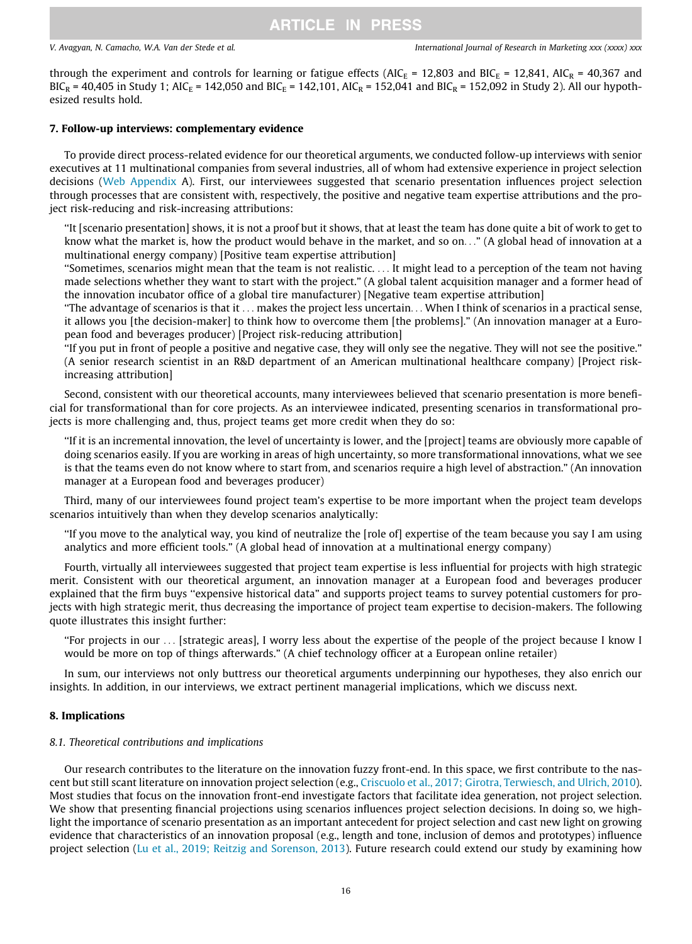<span id="page-15-0"></span>through the experiment and controls for learning or fatigue effects (AIC<sub>E</sub> = 12,803 and BIC<sub>E</sub> = 12,841, AIC<sub>R</sub> = 40,367 and  $BIC_R = 40,405$  in Study 1; AIC<sub>E</sub> = 142,050 and BIC<sub>E</sub> = 142,101, AIC<sub>R</sub> = 152,041 and BIC<sub>R</sub> = 152,092 in Study 2). All our hypothesized results hold.

#### 7. Follow-up interviews: complementary evidence

To provide direct process-related evidence for our theoretical arguments, we conducted follow-up interviews with senior executives at 11 multinational companies from several industries, all of whom had extensive experience in project selection decisions (Web Appendix A). First, our interviewees suggested that scenario presentation influences project selection through processes that are consistent with, respectively, the positive and negative team expertise attributions and the project risk-reducing and risk-increasing attributions:

''It [scenario presentation] shows, it is not a proof but it shows, that at least the team has done quite a bit of work to get to know what the market is, how the product would behave in the market, and so on..." (A global head of innovation at a multinational energy company) [Positive team expertise attribution]

''Sometimes, scenarios might mean that the team is not realistic. ... It might lead to a perception of the team not having made selections whether they want to start with the project." (A global talent acquisition manager and a former head of the innovation incubator office of a global tire manufacturer) [Negative team expertise attribution]

''The advantage of scenarios is that it ... makes the project less uncertain... When I think of scenarios in a practical sense, it allows you [the decision-maker] to think how to overcome them [the problems]." (An innovation manager at a European food and beverages producer) [Project risk-reducing attribution]

''If you put in front of people a positive and negative case, they will only see the negative. They will not see the positive." (A senior research scientist in an R&D department of an American multinational healthcare company) [Project riskincreasing attribution]

Second, consistent with our theoretical accounts, many interviewees believed that scenario presentation is more beneficial for transformational than for core projects. As an interviewee indicated, presenting scenarios in transformational projects is more challenging and, thus, project teams get more credit when they do so:

''If it is an incremental innovation, the level of uncertainty is lower, and the [project] teams are obviously more capable of doing scenarios easily. If you are working in areas of high uncertainty, so more transformational innovations, what we see is that the teams even do not know where to start from, and scenarios require a high level of abstraction." (An innovation manager at a European food and beverages producer)

Third, many of our interviewees found project team's expertise to be more important when the project team develops scenarios intuitively than when they develop scenarios analytically:

''If you move to the analytical way, you kind of neutralize the [role of] expertise of the team because you say I am using analytics and more efficient tools." (A global head of innovation at a multinational energy company)

Fourth, virtually all interviewees suggested that project team expertise is less influential for projects with high strategic merit. Consistent with our theoretical argument, an innovation manager at a European food and beverages producer explained that the firm buys "expensive historical data" and supports project teams to survey potential customers for projects with high strategic merit, thus decreasing the importance of project team expertise to decision-makers. The following quote illustrates this insight further:

''For projects in our ... [strategic areas], I worry less about the expertise of the people of the project because I know I would be more on top of things afterwards." (A chief technology officer at a European online retailer)

In sum, our interviews not only buttress our theoretical arguments underpinning our hypotheses, they also enrich our insights. In addition, in our interviews, we extract pertinent managerial implications, which we discuss next.

### 8. Implications

#### 8.1. Theoretical contributions and implications

Our research contributes to the literature on the innovation fuzzy front-end. In this space, we first contribute to the nascent but still scant literature on innovation project selection (e.g., [Criscuolo et al., 2017; Girotra, Terwiesch, and Ulrich, 2010](#page-18-0)). Most studies that focus on the innovation front-end investigate factors that facilitate idea generation, not project selection. We show that presenting financial projections using scenarios influences project selection decisions. In doing so, we highlight the importance of scenario presentation as an important antecedent for project selection and cast new light on growing evidence that characteristics of an innovation proposal (e.g., length and tone, inclusion of demos and prototypes) influence project selection ([Lu et al., 2019; Reitzig and Sorenson, 2013\)](#page-18-0). Future research could extend our study by examining how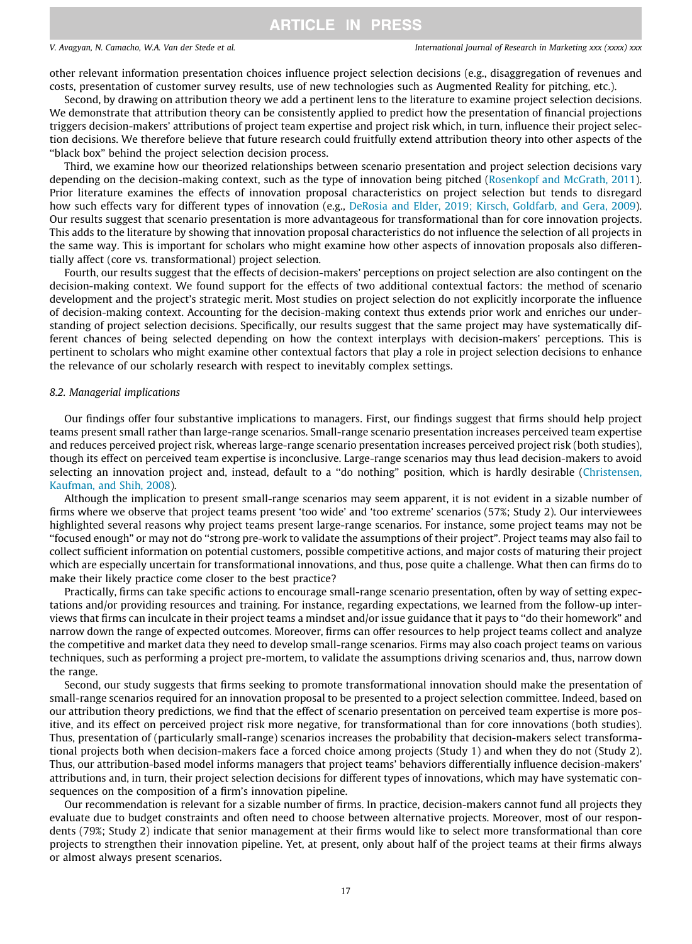other relevant information presentation choices influence project selection decisions (e.g., disaggregation of revenues and costs, presentation of customer survey results, use of new technologies such as Augmented Reality for pitching, etc.).

Second, by drawing on attribution theory we add a pertinent lens to the literature to examine project selection decisions. We demonstrate that attribution theory can be consistently applied to predict how the presentation of financial projections triggers decision-makers' attributions of project team expertise and project risk which, in turn, influence their project selection decisions. We therefore believe that future research could fruitfully extend attribution theory into other aspects of the ''black box" behind the project selection decision process.

Third, we examine how our theorized relationships between scenario presentation and project selection decisions vary depending on the decision-making context, such as the type of innovation being pitched ([Rosenkopf and McGrath, 2011](#page-19-0)). Prior literature examines the effects of innovation proposal characteristics on project selection but tends to disregard how such effects vary for different types of innovation (e.g., [DeRosia and Elder, 2019; Kirsch, Goldfarb, and Gera, 2009](#page-18-0)). Our results suggest that scenario presentation is more advantageous for transformational than for core innovation projects. This adds to the literature by showing that innovation proposal characteristics do not influence the selection of all projects in the same way. This is important for scholars who might examine how other aspects of innovation proposals also differentially affect (core vs. transformational) project selection.

Fourth, our results suggest that the effects of decision-makers' perceptions on project selection are also contingent on the decision-making context. We found support for the effects of two additional contextual factors: the method of scenario development and the project's strategic merit. Most studies on project selection do not explicitly incorporate the influence of decision-making context. Accounting for the decision-making context thus extends prior work and enriches our understanding of project selection decisions. Specifically, our results suggest that the same project may have systematically different chances of being selected depending on how the context interplays with decision-makers' perceptions. This is pertinent to scholars who might examine other contextual factors that play a role in project selection decisions to enhance the relevance of our scholarly research with respect to inevitably complex settings.

#### 8.2. Managerial implications

Our findings offer four substantive implications to managers. First, our findings suggest that firms should help project teams present small rather than large-range scenarios. Small-range scenario presentation increases perceived team expertise and reduces perceived project risk, whereas large-range scenario presentation increases perceived project risk (both studies), though its effect on perceived team expertise is inconclusive. Large-range scenarios may thus lead decision-makers to avoid selecting an innovation project and, instead, default to a ''do nothing" position, which is hardly desirable ([Christensen,](#page-18-0) [Kaufman, and Shih, 2008](#page-18-0)).

Although the implication to present small-range scenarios may seem apparent, it is not evident in a sizable number of firms where we observe that project teams present 'too wide' and 'too extreme' scenarios (57%; Study 2). Our interviewees highlighted several reasons why project teams present large-range scenarios. For instance, some project teams may not be ''focused enough" or may not do ''strong pre-work to validate the assumptions of their project". Project teams may also fail to collect sufficient information on potential customers, possible competitive actions, and major costs of maturing their project which are especially uncertain for transformational innovations, and thus, pose quite a challenge. What then can firms do to make their likely practice come closer to the best practice?

Practically, firms can take specific actions to encourage small-range scenario presentation, often by way of setting expectations and/or providing resources and training. For instance, regarding expectations, we learned from the follow-up interviews that firms can inculcate in their project teams a mindset and/or issue guidance that it pays to ''do their homework" and narrow down the range of expected outcomes. Moreover, firms can offer resources to help project teams collect and analyze the competitive and market data they need to develop small-range scenarios. Firms may also coach project teams on various techniques, such as performing a project pre-mortem, to validate the assumptions driving scenarios and, thus, narrow down the range.

Second, our study suggests that firms seeking to promote transformational innovation should make the presentation of small-range scenarios required for an innovation proposal to be presented to a project selection committee. Indeed, based on our attribution theory predictions, we find that the effect of scenario presentation on perceived team expertise is more positive, and its effect on perceived project risk more negative, for transformational than for core innovations (both studies). Thus, presentation of (particularly small-range) scenarios increases the probability that decision-makers select transformational projects both when decision-makers face a forced choice among projects (Study 1) and when they do not (Study 2). Thus, our attribution-based model informs managers that project teams' behaviors differentially influence decision-makers' attributions and, in turn, their project selection decisions for different types of innovations, which may have systematic consequences on the composition of a firm's innovation pipeline.

Our recommendation is relevant for a sizable number of firms. In practice, decision-makers cannot fund all projects they evaluate due to budget constraints and often need to choose between alternative projects. Moreover, most of our respondents (79%; Study 2) indicate that senior management at their firms would like to select more transformational than core projects to strengthen their innovation pipeline. Yet, at present, only about half of the project teams at their firms always or almost always present scenarios.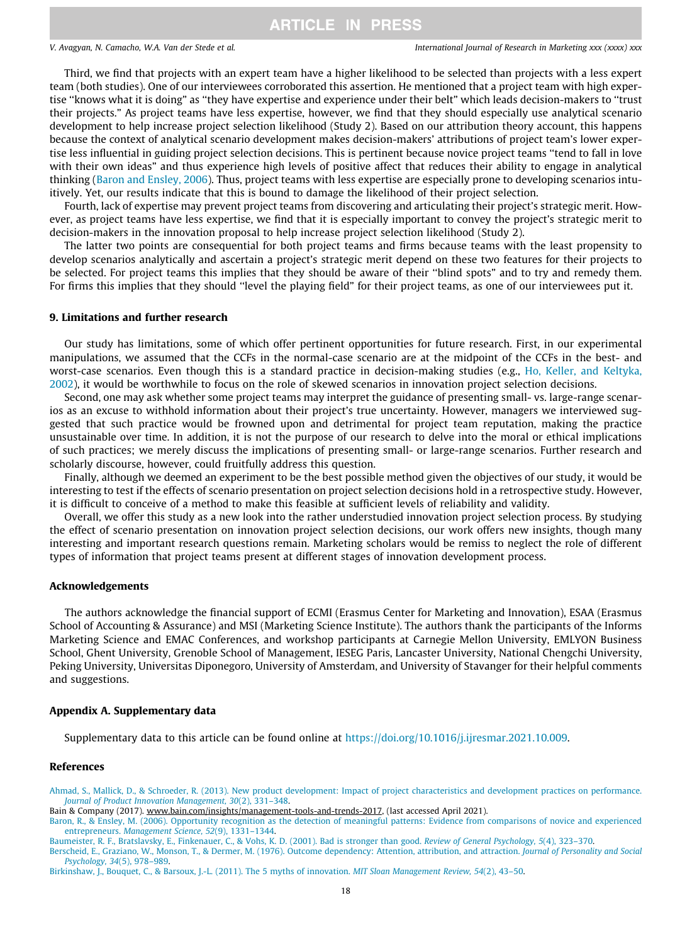<span id="page-17-0"></span>Third, we find that projects with an expert team have a higher likelihood to be selected than projects with a less expert team (both studies). One of our interviewees corroborated this assertion. He mentioned that a project team with high expertise ''knows what it is doing" as ''they have expertise and experience under their belt" which leads decision-makers to ''trust their projects." As project teams have less expertise, however, we find that they should especially use analytical scenario development to help increase project selection likelihood (Study 2). Based on our attribution theory account, this happens because the context of analytical scenario development makes decision-makers' attributions of project team's lower expertise less influential in guiding project selection decisions. This is pertinent because novice project teams ''tend to fall in love with their own ideas" and thus experience high levels of positive affect that reduces their ability to engage in analytical thinking (Baron and Ensley, 2006). Thus, project teams with less expertise are especially prone to developing scenarios intuitively. Yet, our results indicate that this is bound to damage the likelihood of their project selection.

Fourth, lack of expertise may prevent project teams from discovering and articulating their project's strategic merit. However, as project teams have less expertise, we find that it is especially important to convey the project's strategic merit to decision-makers in the innovation proposal to help increase project selection likelihood (Study 2).

The latter two points are consequential for both project teams and firms because teams with the least propensity to develop scenarios analytically and ascertain a project's strategic merit depend on these two features for their projects to be selected. For project teams this implies that they should be aware of their ''blind spots" and to try and remedy them. For firms this implies that they should ''level the playing field" for their project teams, as one of our interviewees put it.

### 9. Limitations and further research

Our study has limitations, some of which offer pertinent opportunities for future research. First, in our experimental manipulations, we assumed that the CCFs in the normal-case scenario are at the midpoint of the CCFs in the best- and worst-case scenarios. Even though this is a standard practice in decision-making studies (e.g., [Ho, Keller, and Keltyka,](#page-18-0) [2002\)](#page-18-0), it would be worthwhile to focus on the role of skewed scenarios in innovation project selection decisions.

Second, one may ask whether some project teams may interpret the guidance of presenting small- vs. large-range scenarios as an excuse to withhold information about their project's true uncertainty. However, managers we interviewed suggested that such practice would be frowned upon and detrimental for project team reputation, making the practice unsustainable over time. In addition, it is not the purpose of our research to delve into the moral or ethical implications of such practices; we merely discuss the implications of presenting small- or large-range scenarios. Further research and scholarly discourse, however, could fruitfully address this question.

Finally, although we deemed an experiment to be the best possible method given the objectives of our study, it would be interesting to test if the effects of scenario presentation on project selection decisions hold in a retrospective study. However, it is difficult to conceive of a method to make this feasible at sufficient levels of reliability and validity.

Overall, we offer this study as a new look into the rather understudied innovation project selection process. By studying the effect of scenario presentation on innovation project selection decisions, our work offers new insights, though many interesting and important research questions remain. Marketing scholars would be remiss to neglect the role of different types of information that project teams present at different stages of innovation development process.

#### Acknowledgements

The authors acknowledge the financial support of ECMI (Erasmus Center for Marketing and Innovation), ESAA (Erasmus School of Accounting & Assurance) and MSI (Marketing Science Institute). The authors thank the participants of the Informs Marketing Science and EMAC Conferences, and workshop participants at Carnegie Mellon University, EMLYON Business School, Ghent University, Grenoble School of Management, IESEG Paris, Lancaster University, National Chengchi University, Peking University, Universitas Diponegoro, University of Amsterdam, and University of Stavanger for their helpful comments and suggestions.

#### Appendix A. Supplementary data

Supplementary data to this article can be found online at [https://doi.org/10.1016/j.ijresmar.2021.10.009.](https://doi.org/10.1016/j.ijresmar.2021.10.009)

#### References

[Ahmad, S., Mallick, D., & Schroeder, R. \(2013\). New product development: Impact of project characteristics and development practices on performance.](http://refhub.elsevier.com/S0167-8116(21)00090-2/h0005) [Journal of Product Innovation Management, 30](http://refhub.elsevier.com/S0167-8116(21)00090-2/h0005)(2), 331–348.

Bain & Company (2017). www.bain.com/insights/management-tools-and-trends-2017, (last accessed April 2021).

[Baron, R., & Ensley, M. \(2006\). Opportunity recognition as the detection of meaningful patterns: Evidence from comparisons of novice and experienced](http://refhub.elsevier.com/S0167-8116(21)00090-2/h0015) entrepreneurs. [Management Science, 52](http://refhub.elsevier.com/S0167-8116(21)00090-2/h0015)(9), 1331–1344.

[Baumeister, R. F., Bratslavsky, E., Finkenauer, C., & Vohs, K. D. \(2001\). Bad is stronger than good.](http://refhub.elsevier.com/S0167-8116(21)00090-2/h0020) Review of General Psychology, 5(4), 323–370.

[Berscheid, E., Graziano, W., Monson, T., & Dermer, M. \(1976\). Outcome dependency: Attention, attribution, and attraction.](http://refhub.elsevier.com/S0167-8116(21)00090-2/h0025) Journal of Personality and Social [Psychology, 34](http://refhub.elsevier.com/S0167-8116(21)00090-2/h0025)(5), 978–989.

[Birkinshaw, J., Bouquet, C., & Barsoux, J.-L. \(2011\). The 5 myths of innovation.](http://refhub.elsevier.com/S0167-8116(21)00090-2/h0030) MIT Sloan Management Review, 54(2), 43–50.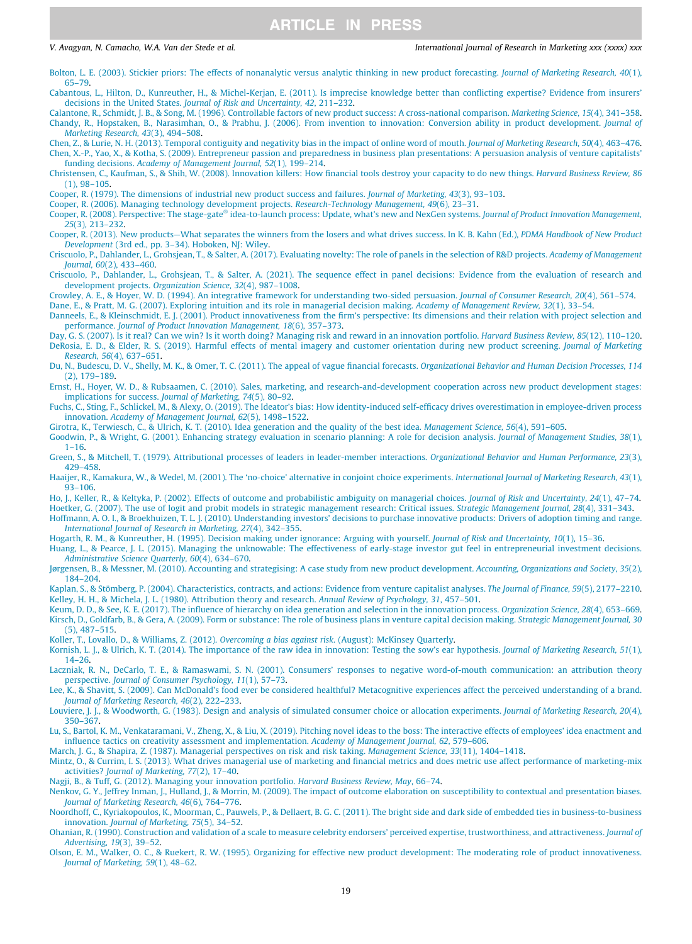<span id="page-18-0"></span>[Bolton, L. E. \(2003\). Stickier priors: The effects of nonanalytic versus analytic thinking in new product forecasting.](http://refhub.elsevier.com/S0167-8116(21)00090-2/h0035) Journal of Marketing Research, 40(1), [65–79](http://refhub.elsevier.com/S0167-8116(21)00090-2/h0035).

- [Cabantous, L., Hilton, D., Kunreuther, H., & Michel-Kerjan, E. \(2011\). Is imprecise knowledge better than conflicting expertise? Evidence from insurers'](http://refhub.elsevier.com/S0167-8116(21)00090-2/h0040) decisions in the United States. [Journal of Risk and Uncertainty, 42](http://refhub.elsevier.com/S0167-8116(21)00090-2/h0040), 211–232.
- [Calantone, R., Schmidt, J. B., & Song, M. \(1996\). Controllable factors of new product success: A cross-national comparison.](http://refhub.elsevier.com/S0167-8116(21)00090-2/h0045) Marketing Science, 15(4), 341–358. [Chandy, R., Hopstaken, B., Narasimhan, O., & Prabhu, J. \(2006\). From invention to innovation: Conversion ability in product development.](http://refhub.elsevier.com/S0167-8116(21)00090-2/h0050) Journal of [Marketing Research, 43](http://refhub.elsevier.com/S0167-8116(21)00090-2/h0050)(3), 494–508.

[Chen, Z., & Lurie, N. H. \(2013\). Temporal contiguity and negativity bias in the impact of online word of mouth.](http://refhub.elsevier.com/S0167-8116(21)00090-2/h0055) Journal of Marketing Research, 50(4), 463–476. [Chen, X.-P., Yao, X., & Kotha, S. \(2009\). Entrepreneur passion and preparedness in business plan presentations: A persuasion analysis of venture capitalists'](http://refhub.elsevier.com/S0167-8116(21)00090-2/h0060) funding decisions. [Academy of Management Journal, 52](http://refhub.elsevier.com/S0167-8116(21)00090-2/h0060)(1), 199–214.

- [Christensen, C., Kaufman, S., & Shih, W. \(2008\). Innovation killers: How financial tools destroy your capacity to do new things.](http://refhub.elsevier.com/S0167-8116(21)00090-2/h0065) Harvard Business Review, 86 [\(1\), 98–105](http://refhub.elsevier.com/S0167-8116(21)00090-2/h0065).
- [Cooper, R. \(1979\). The dimensions of industrial new product success and failures.](http://refhub.elsevier.com/S0167-8116(21)00090-2/h0070) Journal of Marketing, 43(3), 93–103.

[Cooper, R. \(2006\). Managing technology development projects.](http://refhub.elsevier.com/S0167-8116(21)00090-2/h0075) Research-Technology Management, 49(6), 23–31.

- [Cooper,](http://refhub.elsevier.com/S0167-8116(21)00090-2/h0080) [R.](http://refhub.elsevier.com/S0167-8116(21)00090-2/h0080) [\(2008\).](http://refhub.elsevier.com/S0167-8116(21)00090-2/h0080) [Perspective:](http://refhub.elsevier.com/S0167-8116(21)00090-2/h0080) [The](http://refhub.elsevier.com/S0167-8116(21)00090-2/h0080) [stage-gate](http://refhub.elsevier.com/S0167-8116(21)00090-2/h0080)® [idea-to-launch process: Update, what's new and NexGen systems.](http://refhub.elsevier.com/S0167-8116(21)00090-2/h0080) Journal of Product Innovation Management, 25[\(3\), 213–232](http://refhub.elsevier.com/S0167-8116(21)00090-2/h0080).
- [Cooper, R. \(2013\). New products—What separates the winners from the losers and what drives success. In K. B. Kahn \(Ed.\),](http://refhub.elsevier.com/S0167-8116(21)00090-2/h0085) PDMA Handbook of New Product Development [\(3rd ed., pp. 3–34\). Hoboken, NJ: Wiley](http://refhub.elsevier.com/S0167-8116(21)00090-2/h0085).
- [Criscuolo, P., Dahlander, L., Grohsjean, T., & Salter, A. \(2017\). Evaluating novelty: The role of panels in the selection of R&D projects.](http://refhub.elsevier.com/S0167-8116(21)00090-2/h0090) Academy of Management Journal, 60[\(2\), 433–460](http://refhub.elsevier.com/S0167-8116(21)00090-2/h0090).
- [Criscuolo, P., Dahlander, L., Grohsjean, T., & Salter, A. \(2021\). The sequence effect in panel decisions: Evidence from the evaluation of research and](http://refhub.elsevier.com/S0167-8116(21)00090-2/h0095) development projects. [Organization Science, 32](http://refhub.elsevier.com/S0167-8116(21)00090-2/h0095)(4), 987–1008.
- [Crowley, A. E., & Hoyer, W. D. \(1994\). An integrative framework for understanding two-sided persuasion.](http://refhub.elsevier.com/S0167-8116(21)00090-2/h0100) Journal of Consumer Research, 20(4), 561–574. [Dane, E., & Pratt, M. G. \(2007\). Exploring intuition and its role in managerial decision making.](http://refhub.elsevier.com/S0167-8116(21)00090-2/h0105) Academy of Management Review, 32(1), 33–54.

[Danneels, E., & Kleinschmidt, E. J. \(2001\). Product innovativeness from the firm's perspective: Its dimensions and their relation with project selection and](http://refhub.elsevier.com/S0167-8116(21)00090-2/h0110) performance. [Journal of Product Innovation Management, 18](http://refhub.elsevier.com/S0167-8116(21)00090-2/h0110)(6), 357–373.

- [Day, G. S. \(2007\). Is it real? Can we win? Is it worth doing? Managing risk and reward in an innovation portfolio.](http://refhub.elsevier.com/S0167-8116(21)00090-2/h0115) Harvard Business Review, 85(12), 110–120. [DeRosia, E. D., & Elder, R. S. \(2019\). Harmful effects of mental imagery and customer orientation during new product screening.](http://refhub.elsevier.com/S0167-8116(21)00090-2/h0120) Journal of Marketing Research, 56[\(4\), 637–651](http://refhub.elsevier.com/S0167-8116(21)00090-2/h0120).
- [Du, N., Budescu, D. V., Shelly, M. K., & Omer, T. C. \(2011\). The appeal of vague financial forecasts.](http://refhub.elsevier.com/S0167-8116(21)00090-2/h0125) Organizational Behavior and Human Decision Processes, 114 [\(2\), 179–189.](http://refhub.elsevier.com/S0167-8116(21)00090-2/h0125)
- [Ernst, H., Hoyer, W. D., & Rubsaamen, C. \(2010\). Sales, marketing, and research-and-development cooperation across new product development stages:](http://refhub.elsevier.com/S0167-8116(21)00090-2/h0130) [implications for success.](http://refhub.elsevier.com/S0167-8116(21)00090-2/h0130) Journal of Marketing, 74(5), 80–92.
- [Fuchs, C., Sting, F., Schlickel, M., & Alexy, O. \(2019\). The Ideator's bias: How identity-induced self-efficacy drives overestimation in employee-driven process](http://refhub.elsevier.com/S0167-8116(21)00090-2/h0135) innovation. [Academy of Management Journal, 62](http://refhub.elsevier.com/S0167-8116(21)00090-2/h0135)(5), 1498–1522.

[Girotra, K., Terwiesch, C., & Ulrich, K. T. \(2010\). Idea generation and the quality of the best idea.](http://refhub.elsevier.com/S0167-8116(21)00090-2/h0140) Management Science, 56(4), 591–605.

- [Goodwin, P., & Wright, G. \(2001\). Enhancing strategy evaluation in scenario planning: A role for decision analysis.](http://refhub.elsevier.com/S0167-8116(21)00090-2/h0145) Journal of Management Studies, 38(1), [1–16](http://refhub.elsevier.com/S0167-8116(21)00090-2/h0145).
- [Green, S., & Mitchell, T. \(1979\). Attributional processes of leaders in leader-member interactions.](http://refhub.elsevier.com/S0167-8116(21)00090-2/h0150) Organizational Behavior and Human Performance, 23(3), [429–458.](http://refhub.elsevier.com/S0167-8116(21)00090-2/h0150)
- [Haaijer, R., Kamakura, W., & Wedel, M. \(2001\). The 'no-choice' alternative in conjoint choice experiments.](http://refhub.elsevier.com/S0167-8116(21)00090-2/h0155) International Journal of Marketing Research, 43(1), [93–106.](http://refhub.elsevier.com/S0167-8116(21)00090-2/h0155)
- [Ho, J., Keller, R., & Keltyka, P. \(2002\). Effects of outcome and probabilistic ambiguity on managerial choices.](http://refhub.elsevier.com/S0167-8116(21)00090-2/h0160) Journal of Risk and Uncertainty, 24(1), 47–74. [Hoetker, G. \(2007\). The use of logit and probit models in strategic management research: Critical issues.](http://refhub.elsevier.com/S0167-8116(21)00090-2/h0165) Strategic Management Journal, 28(4), 331–343.
- [Hoffmann, A. O. I., & Broekhuizen, T. L. J. \(2010\). Understanding investors' decisions to purchase innovative products: Drivers of adoption timing and range.](http://refhub.elsevier.com/S0167-8116(21)00090-2/h0170) [International Journal of Research in Marketing, 27](http://refhub.elsevier.com/S0167-8116(21)00090-2/h0170)(4), 342–355.
- [Hogarth, R. M., & Kunreuther, H. \(1995\). Decision making under ignorance: Arguing with yourself.](http://refhub.elsevier.com/S0167-8116(21)00090-2/h0175) Journal of Risk and Uncertainty, 10(1), 15–36.
- [Huang, L., & Pearce, J. L. \(2015\). Managing the unknowable: The effectiveness of early-stage investor gut feel in entrepreneurial investment decisions.](http://refhub.elsevier.com/S0167-8116(21)00090-2/h0180) [Administrative Science Quarterly, 60](http://refhub.elsevier.com/S0167-8116(21)00090-2/h0180)(4), 634–670.
- [J](http://refhub.elsevier.com/S0167-8116(21)00090-2/h0185)ø[rgensen, B., & Messner, M. \(2010\). Accounting and strategising: A case study from new product development.](http://refhub.elsevier.com/S0167-8116(21)00090-2/h0185) Accounting, Organizations and Society, 35(2), [184–204.](http://refhub.elsevier.com/S0167-8116(21)00090-2/h0185)
- [Kaplan, S., & Stömberg, P. \(2004\). Characteristics, contracts, and actions: Evidence from venture capitalist analyses.](http://refhub.elsevier.com/S0167-8116(21)00090-2/h0190) The Journal of Finance, 59(5), 2177–2210. [Kelley, H. H., & Michela, J. L. \(1980\). Attribution theory and research.](http://refhub.elsevier.com/S0167-8116(21)00090-2/h0195) Annual Review of Psychology, 31, 457–501.
- [Keum, D. D., & See, K. E. \(2017\). The influence of hierarchy on idea generation and selection in the innovation process.](http://refhub.elsevier.com/S0167-8116(21)00090-2/h0200) Organization Science, 28(4), 653–669. [Kirsch, D., Goldfarb, B., & Gera, A. \(2009\). Form or substance: The role of business plans in venture capital decision making.](http://refhub.elsevier.com/S0167-8116(21)00090-2/h0205) Strategic Management Journal, 30 [\(5\), 487–515.](http://refhub.elsevier.com/S0167-8116(21)00090-2/h0205)

[Koller, T., Lovallo, D., & Williams, Z. \(2012\).](http://refhub.elsevier.com/S0167-8116(21)00090-2/h0210) Overcoming a bias against risk. (August): McKinsey Quarterly.

- [Kornish, L. J., & Ulrich, K. T. \(2014\). The importance of the raw idea in innovation: Testing the sow's ear hypothesis.](http://refhub.elsevier.com/S0167-8116(21)00090-2/h0215) Journal of Marketing Research, 51(1), [14–26](http://refhub.elsevier.com/S0167-8116(21)00090-2/h0215).
- [Laczniak, R. N., DeCarlo, T. E., & Ramaswami, S. N. \(2001\). Consumers' responses to negative word-of-mouth communication: an attribution theory](http://refhub.elsevier.com/S0167-8116(21)00090-2/h0220) perspective. [Journal of Consumer Psychology, 11](http://refhub.elsevier.com/S0167-8116(21)00090-2/h0220)(1), 57–73.
- [Lee, K., & Shavitt, S. \(2009\). Can McDonald's food ever be considered healthful? Metacognitive experiences affect the perceived understanding of a brand.](http://refhub.elsevier.com/S0167-8116(21)00090-2/h0225) [Journal of Marketing Research, 46](http://refhub.elsevier.com/S0167-8116(21)00090-2/h0225)(2), 222–233.
- [Louviere, J. J., & Woodworth, G. \(1983\). Design and analysis of simulated consumer choice or allocation experiments.](http://refhub.elsevier.com/S0167-8116(21)00090-2/h0230) Journal of Marketing Research, 20(4), [350–367.](http://refhub.elsevier.com/S0167-8116(21)00090-2/h0230)
- [Lu, S., Bartol, K. M., Venkataramani, V., Zheng, X., & Liu, X. \(2019\). Pitching novel ideas to the boss: The interactive effects of employees' idea enactment and](http://refhub.elsevier.com/S0167-8116(21)00090-2/h0235) [influence tactics on creativity assessment and implementation.](http://refhub.elsevier.com/S0167-8116(21)00090-2/h0235) Academy of Management Journal, 62, 579–606.

[March, J. G., & Shapira, Z. \(1987\). Managerial perspectives on risk and risk taking.](http://refhub.elsevier.com/S0167-8116(21)00090-2/h0240) Management Science, 33(11), 1404–1418.

[Mintz, O., & Currim, I. S. \(2013\). What drives managerial use of marketing and financial metrics and does metric use affect performance of marketing-mix](http://refhub.elsevier.com/S0167-8116(21)00090-2/h0245) activities? [Journal of Marketing, 77](http://refhub.elsevier.com/S0167-8116(21)00090-2/h0245)(2), 17–40.

[Nagji, B., & Tuff, G. \(2012\). Managing your innovation portfolio.](http://refhub.elsevier.com/S0167-8116(21)00090-2/h0250) *Harvard Business Review, May*, 66–74.<br>Nenkov, G. Y., Jeffrey Inman, J., Hulland, J., & Morrin, M. (2009). The impact of outcome elaboration on susceptibili [Journal of Marketing Research, 46](http://refhub.elsevier.com/S0167-8116(21)00090-2/h0255)(6), 764–776.

[Noordhoff, C., Kyriakopoulos, K., Moorman, C., Pauwels, P., & Dellaert, B. G. C. \(2011\). The bright side and dark side of embedded ties in business-to-business](http://refhub.elsevier.com/S0167-8116(21)00090-2/h0260) innovation. [Journal of Marketing, 75](http://refhub.elsevier.com/S0167-8116(21)00090-2/h0260)(5), 34–52.

[Ohanian, R. \(1990\). Construction and validation of a scale to measure celebrity endorsers' perceived expertise, trustworthiness, and attractiveness.](http://refhub.elsevier.com/S0167-8116(21)00090-2/h0265) Journal of [Advertising, 19](http://refhub.elsevier.com/S0167-8116(21)00090-2/h0265)(3), 39–52.

[Olson, E. M., Walker, O. C., & Ruekert, R. W. \(1995\). Organizing for effective new product development: The moderating role of product innovativeness.](http://refhub.elsevier.com/S0167-8116(21)00090-2/h0270) [Journal of Marketing, 59](http://refhub.elsevier.com/S0167-8116(21)00090-2/h0270)(1), 48–62.